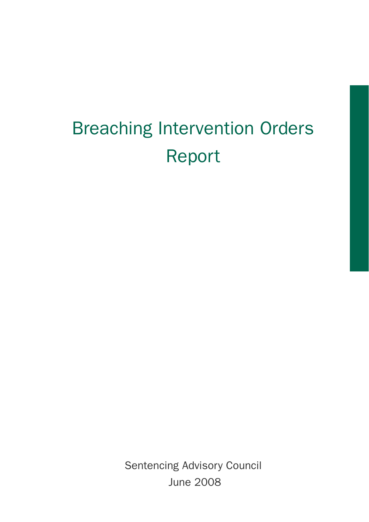# Breaching Intervention Orders Report

Sentencing Advisory Council June 2008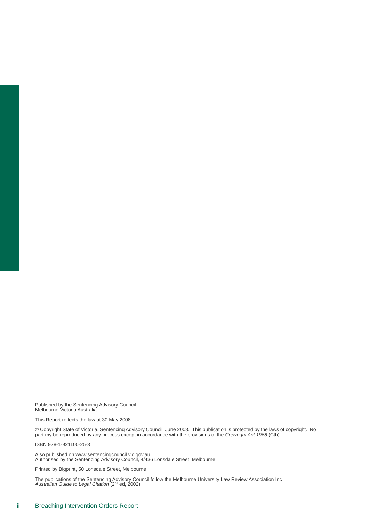Published by the Sentencing Advisory Council Melbourne Victoria Australia.

This Report reflects the law at 30 May 2008.

© Copyright State of Victoria, Sentencing Advisory Council, June 2008. This publication is protected by the laws of copyright. No part my be reproduced by any process except in accordance with the provisions of the *Copyright Act 1968* (Cth).

ISBN 978-1-921100-25-3

Also published on www.sentencingcouncil.vic.gov.au Authorised by the Sentencing Advisory Council, 4/436 Lonsdale Street, Melbourne

Printed by Bigprint, 50 Lonsdale Street, Melbourne

The publications of the Sentencing Advisory Council follow the Melbourne University Law Review Association Inc *Australian Guide to Legal Citation* (2nd ed, 2002).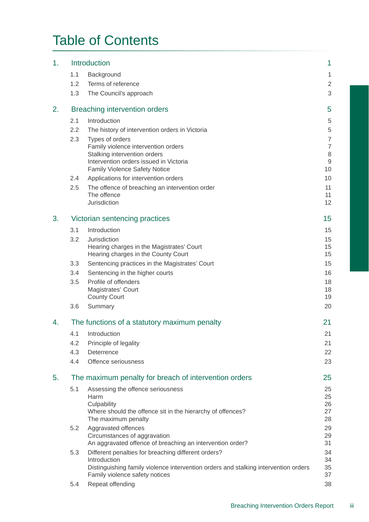## Table of Contents

| 1. |     | Introduction                                                                                                     | 1              |
|----|-----|------------------------------------------------------------------------------------------------------------------|----------------|
|    | 1.1 | Background                                                                                                       | 1              |
|    | 1.2 | Terms of reference                                                                                               | $\overline{a}$ |
|    | 1.3 | The Council's approach                                                                                           | 3              |
| 2. |     | <b>Breaching intervention orders</b>                                                                             | 5              |
|    | 2.1 | Introduction                                                                                                     | 5              |
|    | 2.2 | The history of intervention orders in Victoria                                                                   | 5              |
|    | 2.3 | Types of orders                                                                                                  | 7              |
|    |     | Family violence intervention orders<br>Stalking intervention orders                                              | 7<br>8         |
|    |     | Intervention orders issued in Victoria                                                                           | 9              |
|    |     | Family Violence Safety Notice                                                                                    | 10             |
|    | 2.4 | Applications for intervention orders                                                                             | 10             |
|    | 2.5 | The offence of breaching an intervention order                                                                   | 11             |
|    |     | The offence<br>Jurisdiction                                                                                      | 11<br>12       |
|    |     |                                                                                                                  |                |
| 3. |     | Victorian sentencing practices                                                                                   | 15             |
|    | 3.1 | Introduction                                                                                                     | 15             |
|    | 3.2 | Jurisdiction<br>Hearing charges in the Magistrates' Court                                                        | 15<br>15       |
|    |     | Hearing charges in the County Court                                                                              | 15             |
|    | 3.3 | Sentencing practices in the Magistrates' Court                                                                   | 15             |
|    | 3.4 | Sentencing in the higher courts                                                                                  | 16             |
|    | 3.5 | Profile of offenders                                                                                             | 18             |
|    |     | Magistrates' Court                                                                                               | 18             |
|    |     | <b>County Court</b>                                                                                              | 19             |
|    | 3.6 | Summary                                                                                                          | 20             |
| 4. |     | The functions of a statutory maximum penalty                                                                     | 21             |
|    | 4.1 | Introduction                                                                                                     | 21             |
|    | 4.2 | Principle of legality                                                                                            | 21             |
|    | 4.3 | Deterrence                                                                                                       | 22             |
|    | 4.4 | Offence seriousness                                                                                              | 23             |
| 5. |     | The maximum penalty for breach of intervention orders                                                            | 25             |
|    | 5.1 | Assessing the offence seriousness                                                                                | 25             |
|    |     | Harm<br>Culpability                                                                                              | 25<br>26       |
|    |     | Where should the offence sit in the hierarchy of offences?                                                       | 27             |
|    |     | The maximum penalty                                                                                              | 28             |
|    | 5.2 | Aggravated offences                                                                                              | 29             |
|    |     | Circumstances of aggravation                                                                                     | 29<br>31       |
|    | 5.3 | An aggravated offence of breaching an intervention order?<br>Different penalties for breaching different orders? | 34             |
|    |     | Introduction                                                                                                     | 34             |
|    |     | Distinguishing family violence intervention orders and stalking intervention orders                              | 35             |
|    |     | Family violence safety notices                                                                                   | 37             |
|    | 5.4 | Repeat offending                                                                                                 | 38             |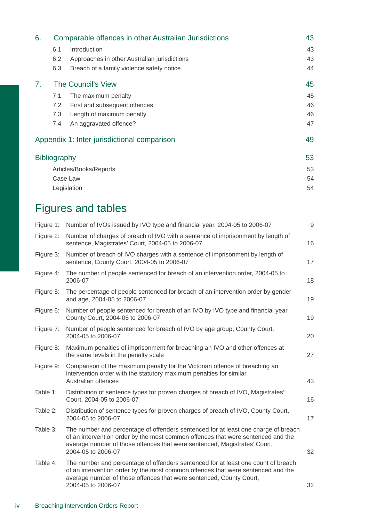| 6. | Comparable offences in other Australian Jurisdictions |                                              |    |  |
|----|-------------------------------------------------------|----------------------------------------------|----|--|
|    | 6.1                                                   | Introduction                                 | 43 |  |
|    | 6.2                                                   | Approaches in other Australian jurisdictions | 43 |  |
|    | 6.3                                                   | Breach of a family violence safety notice    | 44 |  |
| 7. | The Council's View                                    | 45                                           |    |  |
|    | 7.1                                                   | The maximum penalty                          | 45 |  |
|    | 7.2                                                   | First and subsequent offences                | 46 |  |
|    | 7.3                                                   | Length of maximum penalty                    | 46 |  |
|    | 7.4                                                   | An aggravated offence?                       | 47 |  |
|    |                                                       | Appendix 1: Inter-jurisdictional comparison  | 49 |  |
|    | <b>Bibliography</b>                                   |                                              | 53 |  |
|    | Articles/Books/Reports                                |                                              |    |  |
|    | Case Law                                              |                                              | 54 |  |
|    | Legislation                                           | 54                                           |    |  |

## Figures and tables

| Figure 1: | Number of IVOs issued by IVO type and financial year, 2004-05 to 2006-07                                                                                                                                                                                                  | 9  |
|-----------|---------------------------------------------------------------------------------------------------------------------------------------------------------------------------------------------------------------------------------------------------------------------------|----|
| Figure 2: | Number of charges of breach of IVO with a sentence of imprisonment by length of<br>sentence, Magistrates' Court, 2004-05 to 2006-07                                                                                                                                       | 16 |
| Figure 3: | Number of breach of IVO charges with a sentence of imprisonment by length of<br>sentence, County Court, 2004-05 to 2006-07                                                                                                                                                | 17 |
| Figure 4: | The number of people sentenced for breach of an intervention order, 2004-05 to<br>2006-07                                                                                                                                                                                 | 18 |
| Figure 5: | The percentage of people sentenced for breach of an intervention order by gender<br>and age, 2004-05 to 2006-07                                                                                                                                                           | 19 |
| Figure 6: | Number of people sentenced for breach of an IVO by IVO type and financial year,<br>County Court, 2004-05 to 2006-07                                                                                                                                                       | 19 |
| Figure 7: | Number of people sentenced for breach of IVO by age group, County Court,<br>2004-05 to 2006-07                                                                                                                                                                            | 20 |
| Figure 8: | Maximum penalties of imprisonment for breaching an IVO and other offences at<br>the same levels in the penalty scale                                                                                                                                                      | 27 |
| Figure 9: | Comparison of the maximum penalty for the Victorian offence of breaching an<br>intervention order with the statutory maximum penalties for similar<br>Australian offences                                                                                                 | 43 |
| Table 1:  | Distribution of sentence types for proven charges of breach of IVO, Magistrates'<br>Court, 2004-05 to 2006-07                                                                                                                                                             | 16 |
| Table 2:  | Distribution of sentence types for proven charges of breach of IVO, County Court,<br>2004-05 to 2006-07                                                                                                                                                                   | 17 |
| Table 3:  | The number and percentage of offenders sentenced for at least one charge of breach<br>of an intervention order by the most common offences that were sentenced and the<br>average number of those offences that were sentenced, Magistrates' Court,<br>2004-05 to 2006-07 | 32 |
| Table 4:  | The number and percentage of offenders sentenced for at least one count of breach<br>of an intervention order by the most common offences that were sentenced and the<br>average number of those offences that were sentenced, County Court,<br>2004-05 to 2006-07        | 32 |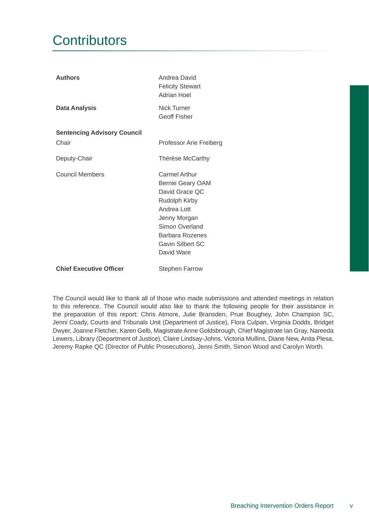## **Contributors**

| <b>Authors</b>                     | Andrea David<br><b>Felicity Stewart</b><br>Adrian Hoel                                                                                                                                   |
|------------------------------------|------------------------------------------------------------------------------------------------------------------------------------------------------------------------------------------|
| <b>Data Analysis</b>               | <b>Nick Turner</b><br><b>Geoff Fisher</b>                                                                                                                                                |
| <b>Sentencing Advisory Council</b> |                                                                                                                                                                                          |
| Chair                              | Professor Arie Freiberg                                                                                                                                                                  |
| Deputy-Chair                       | Thérèse McCarthy                                                                                                                                                                         |
| Council Members                    | Carmel Arthur<br><b>Bernie Geary OAM</b><br>David Grace OC<br><b>Rudolph Kirby</b><br>Andrea Lott<br>Jenny Morgan<br>Simon Overland<br>Barbara Rozenes<br>Gavin Silbert SC<br>David Ware |
| <b>Chief Executive Officer</b>     | Stephen Farrow                                                                                                                                                                           |

The Council would like to thank all of those who made submissions and attended meetings in relation to this reference. The Council would also like to thank the following people for their assistance in the preparation of this report: Chris Atmore, Julie Bransden, Prue Boughey, John Champion SC, Jenni Coady, Courts and Tribunals Unit (Department of Justice), Flora Culpan, Virginia Dodds, Bridget Dwyer, Joanne Fletcher, Karen Gelb, Magistrate Anne Goldsbrough, Chief Magistrate Ian Gray, Nareeda Lewers, Library (Department of Justice), Claire Lindsay-Johns, Victoria Mullins, Diane New, Anita Plesa, Jeremy Rapke QC (Director of Public Prosecutions), Jenni Smith, Simon Wood and Carolyn Worth.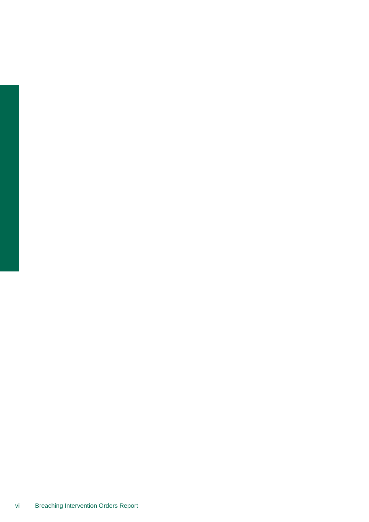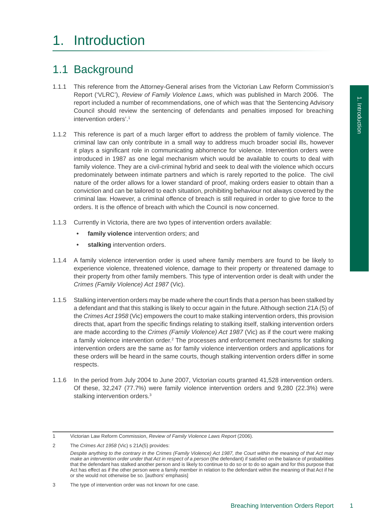## 1. Introduction

### 1.1 Background

- 1.1.1 This reference from the Attorney-General arises from the Victorian Law Reform Commission's Report ('VLRC'), *Review of Family Violence Laws*, which was published in March 2006. The report included a number of recommendations, one of which was that 'the Sentencing Advisory Council should review the sentencing of defendants and penalties imposed for breaching intervention orders'.1
- 1.1.2 This reference is part of a much larger effort to address the problem of family violence. The criminal law can only contribute in a small way to address much broader social ills, however it plays a significant role in communicating abhorrence for violence. Intervention orders were introduced in 1987 as one legal mechanism which would be available to courts to deal with family violence. They are a civil-criminal hybrid and seek to deal with the violence which occurs predominately between intimate partners and which is rarely reported to the police. The civil nature of the order allows for a lower standard of proof, making orders easier to obtain than a conviction and can be tailored to each situation, prohibiting behaviour not always covered by the criminal law. However, a criminal offence of breach is still required in order to give force to the orders. It is the offence of breach with which the Council is now concerned.
- 1.1.3 Currently in Victoria, there are two types of intervention orders available:
	- **family violence** intervention orders; and
	- **stalking** intervention orders.
- 1.1.4 A family violence intervention order is used where family members are found to be likely to experience violence, threatened violence, damage to their property or threatened damage to their property from other family members. This type of intervention order is dealt with under the *Crimes (Family Violence) Act 1987* (Vic).
- 1.1.5 Stalking intervention orders may be made where the court finds that a person has been stalked by a defendant and that this stalking is likely to occur again in the future. Although section 21A (5) of the *Crimes Act 1958* (Vic) empowers the court to make stalking intervention orders, this provision directs that, apart from the specific findings relating to stalking itself, stalking intervention orders are made according to the *Crimes (Family Violence) Act 1987* (Vic) as if the court were making a family violence intervention order.<sup>2</sup> The processes and enforcement mechanisms for stalking intervention orders are the same as for family violence intervention orders and applications for these orders will be heard in the same courts, though stalking intervention orders differ in some respects.
- 1.1.6 In the period from July 2004 to June 2007, Victorian courts granted 41,528 intervention orders. Of these, 32,247 (77.7%) were family violence intervention orders and 9,280 (22.3%) were stalking intervention orders.<sup>3</sup>

<sup>1</sup> Victorian Law Reform Commission, *Review of Family Violence Laws Report* (2006).

<sup>2</sup> The *Crimes Act 1958* (Vic) s 21A(5) provides:

*Despite anything to the contrary in the Crimes (Family Violence) Act 1987, the Court within the meaning of that Act may make an intervention order under that Act in respect of a person* (the defendant) if satisfied on the balance of probabilities that the defendant has stalked another person and is likely to continue to do so or to do so again and for this purpose that Act has effect as if the other person were a family member in relation to the defendant within the meaning of that Act if he or she would not otherwise be so. [authors' emphasis]

<sup>3</sup> The type of intervention order was not known for one case.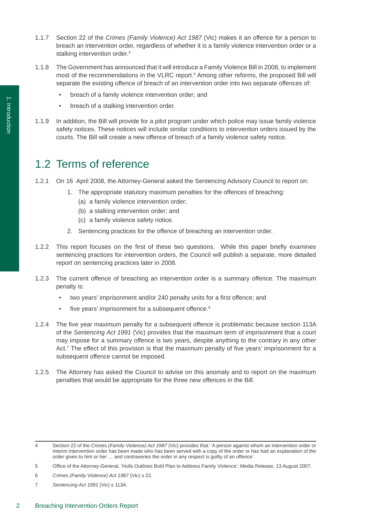- 1.1.7 Section 22 of the *Crimes (Family Violence) Act 1987* (Vic) makes it an offence for a person to breach an intervention order, regardless of whether it is a family violence intervention order or a stalking intervention order.<sup>4</sup>
- 1.1.8 The Government has announced that it will introduce a Family Violence Bill in 2008, to implement most of the recommendations in the VLRC report.<sup>5</sup> Among other reforms, the proposed Bill will separate the existing offence of breach of an intervention order into two separate offences of:
	- breach of a family violence intervention order; and
	- breach of a stalking intervention order.
- 1.1.9 In addition, the Bill will provide for a pilot program under which police may issue family violence safety notices. These notices will include similar conditions to intervention orders issued by the courts. The Bill will create a new offence of breach of a family violence safety notice.

### 1.2 Terms of reference

- 1.2.1 On 16 April 2008, the Attorney-General asked the Sentencing Advisory Council to report on:
	- 1. The appropriate statutory maximum penalties for the offences of breaching:
		- (a) a family violence intervention order;
		- (b) a stalking intervention order; and
		- (c) a family violence safety notice.
		- 2. Sentencing practices for the offence of breaching an intervention order.
- 1.2.2 This report focuses on the first of these two questions. While this paper briefly examines sentencing practices for intervention orders, the Council will publish a separate, more detailed report on sentencing practices later in 2008.
- 1.2.3 The current offence of breaching an intervention order is a summary offence. The maximum penalty is:
	- two years' imprisonment and/or 240 penalty units for a first offence; and
	- five years' imprisonment for a subsequent offence.<sup>6</sup>
- 1.2.4 The five year maximum penalty for a subsequent offence is problematic because section 113A of the *Sentencing Act 1991* (Vic) provides that the maximum term of imprisonment that a court may impose for a summary offence is two years, despite anything to the contrary in any other Act.<sup>7</sup> The effect of this provision is that the maximum penalty of five years' imprisonment for a subsequent offence cannot be imposed.
- 1.2.5 The Attorney has asked the Council to advise on this anomaly and to report on the maximum penalties that would be appropriate for the three new offences in the Bill.

- 6 *Crimes (Family Violence) Act 1987* (Vic) s 22.
- 7 *Sentencing Act 1991* (Vic) s 113A.

<sup>4</sup> Section 22 of the *Crimes (Family Violence) Act 1987* (Vic) provides that: 'A person against whom an intervention order or interim intervention order has been made who has been served with a copy of the order or has had an explanation of the order given to him or her … and contravenes the order in any respect is guilty of an offence'.

<sup>5</sup> Office of the Attorney-General, 'Hulls Outlines Bold Plan to Address Family Violence', Media Release, 13 August 2007.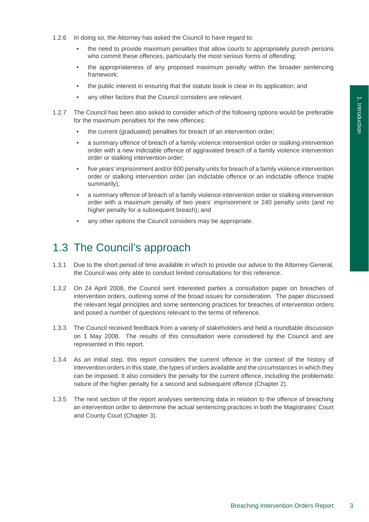- 1.2.6 In doing so, the Attorney has asked the Council to have regard to:
	- the need to provide maximum penalties that allow courts to appropriately punish persons who commit these offences, particularly the most serious forms of offending;
	- the appropriateness of any proposed maximum penalty within the broader sentencing framework;
	- the public interest in ensuring that the statute book is clear in its application; and
	- any other factors that the Council considers are relevant.
- 1.2.7 The Council has been also asked to consider which of the following options would be preferable for the maximum penalties for the new offences:
	- the current (graduated) penalties for breach of an intervention order;
	- a summary offence of breach of a family violence intervention order or stalking intervention order with a new indictable offence of aggravated breach of a family violence intervention order or stalking intervention order;
	- five years' imprisonment and/or 600 penalty units for breach of a family violence intervention order or stalking intervention order (an indictable offence or an indictable offence triable summarily);
	- a summary offence of breach of a family violence intervention order or stalking intervention order with a maximum penalty of two years' imprisonment or 240 penalty units (and no higher penalty for a subsequent breach); and
	- any other options the Council considers may be appropriate.

### 1.3 The Council's approach

- 1.3.1 Due to the short period of time available in which to provide our advice to the Attorney-General, the Council was only able to conduct limited consultations for this reference.
- 1.3.2 On 24 April 2008, the Council sent interested parties a consultation paper on breaches of intervention orders, outlining some of the broad issues for consideration. The paper discussed the relevant legal principles and some sentencing practices for breaches of intervention orders and posed a number of questions relevant to the terms of reference.
- 1.3.3 The Council received feedback from a variety of stakeholders and held a roundtable discussion on 1 May 2008. The results of this consultation were considered by the Council and are represented in this report.
- 1.3.4 As an initial step, this report considers the current offence in the context of the history of intervention orders in this state, the types of orders available and the circumstances in which they can be imposed. It also considers the penalty for the current offence, including the problematic nature of the higher penalty for a second and subsequent offence (Chapter 2).
- 1.3.5 The next section of the report analyses sentencing data in relation to the offence of breaching an intervention order to determine the actual sentencing practices in both the Magistrates' Court and County Court (Chapter 3).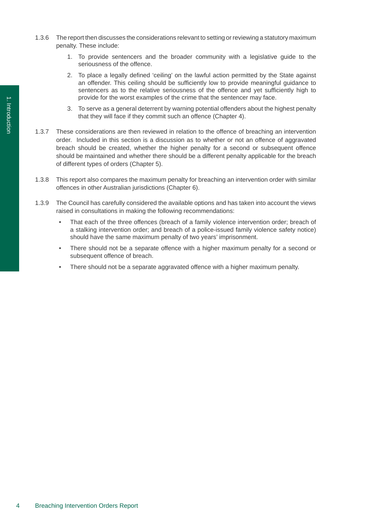- 1.3.6 The report then discusses the considerations relevant to setting or reviewing a statutory maximum penalty. These include:
	- 1. To provide sentencers and the broader community with a legislative guide to the seriousness of the offence.
	- 2. To place a legally defined 'ceiling' on the lawful action permitted by the State against an offender. This ceiling should be sufficiently low to provide meaningful guidance to sentencers as to the relative seriousness of the offence and yet sufficiently high to provide for the worst examples of the crime that the sentencer may face.
	- 3. To serve as a general deterrent by warning potential offenders about the highest penalty that they will face if they commit such an offence (Chapter 4).
- 1.3.7 These considerations are then reviewed in relation to the offence of breaching an intervention order. Included in this section is a discussion as to whether or not an offence of aggravated breach should be created, whether the higher penalty for a second or subsequent offence should be maintained and whether there should be a different penalty applicable for the breach of different types of orders (Chapter 5).
- 1.3.8 This report also compares the maximum penalty for breaching an intervention order with similar offences in other Australian jurisdictions (Chapter 6).
- 1.3.9 The Council has carefully considered the available options and has taken into account the views raised in consultations in making the following recommendations:
	- That each of the three offences (breach of a family violence intervention order; breach of a stalking intervention order; and breach of a police-issued family violence safety notice) should have the same maximum penalty of two years' imprisonment.
	- There should not be a separate offence with a higher maximum penalty for a second or subsequent offence of breach.
	- There should not be a separate aggravated offence with a higher maximum penalty.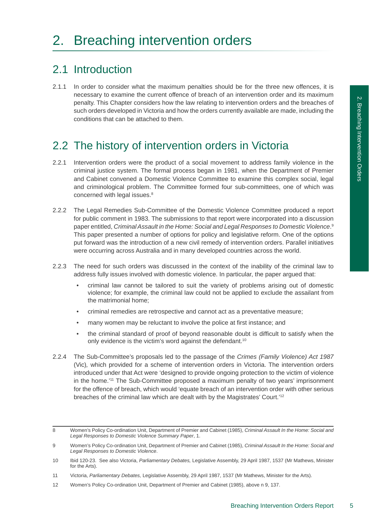## 2. Breaching intervention orders

### 2.1 Introduction

2.1.1 In order to consider what the maximum penalties should be for the three new offences, it is necessary to examine the current offence of breach of an intervention order and its maximum penalty. This Chapter considers how the law relating to intervention orders and the breaches of such orders developed in Victoria and how the orders currently available are made, including the conditions that can be attached to them.

### 2.2 The history of intervention orders in Victoria

- 2.2.1 Intervention orders were the product of a social movement to address family violence in the criminal justice system. The formal process began in 1981, when the Department of Premier and Cabinet convened a Domestic Violence Committee to examine this complex social, legal and criminological problem. The Committee formed four sub-committees, one of which was concerned with legal issues.<sup>8</sup>
- 2.2.2 The Legal Remedies Sub-Committee of the Domestic Violence Committee produced a report for public comment in 1983. The submissions to that report were incorporated into a discussion paper entitled, *Criminal Assault in the Home: Social and Legal Responses to Domestic Violence*. 9 This paper presented a number of options for policy and legislative reform. One of the options put forward was the introduction of a new civil remedy of intervention orders. Parallel initiatives were occurring across Australia and in many developed countries across the world.
- 2.2.3 The need for such orders was discussed in the context of the inability of the criminal law to address fully issues involved with domestic violence. In particular, the paper argued that:
	- criminal law cannot be tailored to suit the variety of problems arising out of domestic violence; for example, the criminal law could not be applied to exclude the assailant from the matrimonial home;
	- criminal remedies are retrospective and cannot act as a preventative measure;
	- many women may be reluctant to involve the police at first instance; and
	- the criminal standard of proof of beyond reasonable doubt is difficult to satisfy when the only evidence is the victim's word against the defendant.<sup>10</sup>
- 2.2.4 The Sub-Committee's proposals led to the passage of the *Crimes (Family Violence) Act 1987*  (Vic)*,* which provided for a scheme of intervention orders in Victoria. The intervention orders introduced under that Act were 'designed to provide ongoing protection to the victim of violence in the home.'11 The Sub-Committee proposed a maximum penalty of two years' imprisonment for the offence of breach, which would 'equate breach of an intervention order with other serious breaches of the criminal law which are dealt with by the Magistrates' Court.'12

<sup>8</sup> Women's Policy Co-ordination Unit, Department of Premier and Cabinet (1985), *Criminal Assault In the Home: Social and Legal Responses to Domestic Violence Summary Paper*, 1.

<sup>9</sup> Women's Policy Co-ordination Unit, Department of Premier and Cabinet (1985), *Criminal Assault In the Home: Social and Legal Responses to Domestic Violence*.

<sup>10</sup> Ibid 120-23. See also Victoria, *Parliamentary Debates,* Legislative Assembly, 29 April 1987, 1537 (Mr Mathews, Minister for the Arts).

<sup>11</sup> Victoria, *Parliamentary Debates,* Legislative Assembly, 29 April 1987, 1537 (Mr Mathews, Minister for the Arts).

<sup>12</sup> Women's Policy Co-ordination Unit, Department of Premier and Cabinet (1985), above n 9, 137.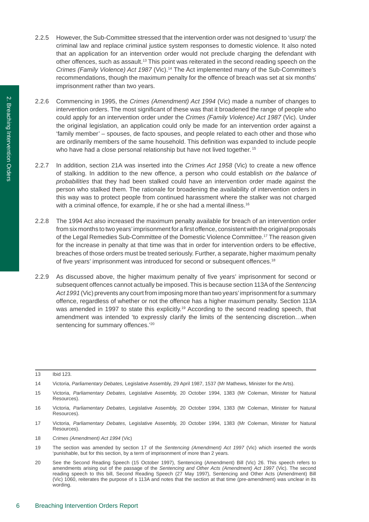- 2.2.5 However, the Sub-Committee stressed that the intervention order was not designed to 'usurp' the criminal law and replace criminal justice system responses to domestic violence. It also noted that an application for an intervention order would not preclude charging the defendant with other offences, such as assault.13 This point was reiterated in the second reading speech on the *Crimes (Family Violence) Act 1987* (Vic).14 The Act implemented many of the Sub-Committee's recommendations, though the maximum penalty for the offence of breach was set at six months' imprisonment rather than two years.
- 2.2.6 Commencing in 1995, the *Crimes (Amendment) Act 1994* (Vic) made a number of changes to intervention orders. The most significant of these was that it broadened the range of people who could apply for an intervention order under the *Crimes (Family Violence) Act 1987* (Vic). Under the original legislation, an application could only be made for an intervention order against a 'family member' – spouses, de facto spouses, and people related to each other and those who are ordinarily members of the same household. This definition was expanded to include people who have had a close personal relationship but have not lived together.<sup>15</sup>
- 2.2.7 In addition, section 21A was inserted into the *Crimes Act 1958* (Vic) to create a new offence of stalking. In addition to the new offence, a person who could establish *on the balance of probabilities* that they had been stalked could have an intervention order made against the person who stalked them. The rationale for broadening the availability of intervention orders in this way was to protect people from continued harassment where the stalker was not charged with a criminal offence, for example, if he or she had a mental illness.<sup>16</sup>
- 2.2.8 The 1994 Act also increased the maximum penalty available for breach of an intervention order from six months to two years' imprisonment for a first offence, consistent with the original proposals of the Legal Remedies Sub-Committee of the Domestic Violence Committee.17 The reason given for the increase in penalty at that time was that in order for intervention orders to be effective, breaches of those orders must be treated seriously. Further, a separate, higher maximum penalty of five years' imprisonment was introduced for second or subsequent offences.<sup>18</sup>
- 2.2.9 As discussed above, the higher maximum penalty of five years' imprisonment for second or subsequent offences cannot actually be imposed. This is because section 113A of the *Sentencing Act 1991* (Vic) prevents any court from imposing more than two years' imprisonment for a summary offence, regardless of whether or not the offence has a higher maximum penalty. Section 113A was amended in 1997 to state this explicitly.<sup>19</sup> According to the second reading speech, that amendment was intended 'to expressly clarify the limits of the sentencing discretion…when sentencing for summary offences.'20

13 Ibid 123.

<sup>14</sup> Victoria, *Parliamentary Debates,* Legislative Assembly, 29 April 1987, 1537 (Mr Mathews, Minister for the Arts).

<sup>15</sup> Victoria, *Parliamentary Debates,* Legislative Assembly, 20 October 1994, 1383 (Mr Coleman, Minister for Natural Resources).

<sup>16</sup> Victoria, *Parliamentary Debates,* Legislative Assembly, 20 October 1994, 1383 (Mr Coleman, Minister for Natural Resources).

<sup>17</sup> Victoria, *Parliamentary Debates,* Legislative Assembly, 20 October 1994, 1383 (Mr Coleman, Minister for Natural Resources).

<sup>18</sup> *Crimes (Amendment) Act 1994* (Vic)

<sup>19</sup> The section was amended by section 17 of the *Sentencing (Amendment) Act 1997* (Vic) which inserted the words 'punishable, but for this section, by a term of imprisonment of more than 2 years.

<sup>20</sup> See the Second Reading Speech (15 October 1997), Sentencing (Amendment) Bill (Vic) 26. This speech refers to amendments arising out of the passage of the *Sentencing and Other Acts (Amendment) Act 1997* (Vic). The second reading speech to this bill, Second Reading Speech (27 May 1997), Sentencing and Other Acts (Amendment) Bill (Vic) 1060, reiterates the purpose of s 113A and notes that the section at that time (pre-amendment) was unclear in its wording.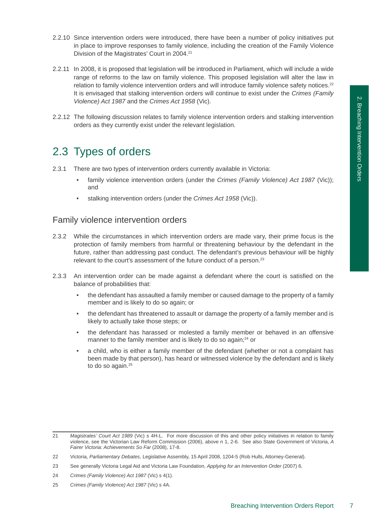- 2.2.10 Since intervention orders were introduced, there have been a number of policy initiatives put in place to improve responses to family violence, including the creation of the Family Violence Division of the Magistrates' Court in 2004.<sup>21</sup>
- 2.2.11 In 2008, it is proposed that legislation will be introduced in Parliament, which will include a wide range of reforms to the law on family violence. This proposed legislation will alter the law in relation to family violence intervention orders and will introduce family violence safety notices.<sup>22</sup> It is envisaged that stalking intervention orders will continue to exist under the *Crimes (Family Violence) Act 1987* and the *Crimes Act 1958* (Vic).
- 2.2.12 The following discussion relates to family violence intervention orders and stalking intervention orders as they currently exist under the relevant legislation.

### 2.3 Types of orders

- 2.3.1 There are two types of intervention orders currently available in Victoria:
	- family violence intervention orders (under the *Crimes (Family Violence) Act 1987* (Vic)); and
	- stalking intervention orders (under the *Crimes Act 1958* (Vic)).

#### Family violence intervention orders

- 2.3.2 While the circumstances in which intervention orders are made vary, their prime focus is the protection of family members from harmful or threatening behaviour by the defendant in the future, rather than addressing past conduct. The defendant's previous behaviour will be highly relevant to the court's assessment of the future conduct of a person.<sup>23</sup>
- 2.3.3 An intervention order can be made against a defendant where the court is satisfied on the balance of probabilities that:
	- the defendant has assaulted a family member or caused damage to the property of a family member and is likely to do so again; or
	- the defendant has threatened to assault or damage the property of a family member and is likely to actually take those steps; or
	- the defendant has harassed or molested a family member or behaved in an offensive manner to the family member and is likely to do so again;<sup>24</sup> or
	- a child, who is either a family member of the defendant (whether or not a complaint has been made by that person), has heard or witnessed violence by the defendant and is likely to do so again.<sup>25</sup>

<sup>21</sup> *Magistrates' Court Act 1989* (Vic) s 4H-L. For more discussion of this and other policy initiatives in relation to family violence, see the Victorian Law Reform Commission (2006), above n 1, 2-6. See also State Government of Victoria, *A Fairer Victoria: Achievements So Far* (2008), 17-8.

<sup>22</sup> Victoria, *Parliamentary Debates*, Legislative Assembly, 15 April 2008, 1204-5 (Rob Hulls, Attorney-General).

<sup>23</sup> See generally Victoria Legal Aid and Victoria Law Foundation, *Applying for an Intervention Order* (2007) 6.

<sup>24</sup> *Crimes (Family Violence) Act 1987* (Vic) s 4(1).

<sup>25</sup> *Crimes (Family Violence) Act 1987* (Vic) s 4A.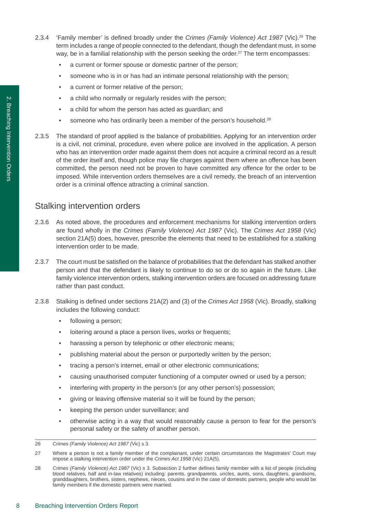- 2.3.4 'Family member' is defined broadly under the *Crimes (Family Violence) Act 1987* (Vic).<sup>26</sup> The term includes a range of people connected to the defendant, though the defendant must, in some way, be in a familial relationship with the person seeking the order.<sup>27</sup> The term encompasses:
	- a current or former spouse or domestic partner of the person;
	- someone who is in or has had an intimate personal relationship with the person;
	- a current or former relative of the person;
	- a child who normally or regularly resides with the person;
	- a child for whom the person has acted as guardian; and
	- someone who has ordinarily been a member of the person's household.<sup>28</sup>
- 2.3.5 The standard of proof applied is the balance of probabilities. Applying for an intervention order is a civil, not criminal, procedure, even where police are involved in the application. A person who has an intervention order made against them does not acquire a criminal record as a result of the order itself and, though police may file charges against them where an offence has been committed, the person need not be proven to have committed any offence for the order to be imposed. While intervention orders themselves are a civil remedy, the breach of an intervention order is a criminal offence attracting a criminal sanction.

#### Stalking intervention orders

- 2.3.6 As noted above, the procedures and enforcement mechanisms for stalking intervention orders are found wholly in the *Crimes (Family Violence) Act 1987* (Vic). The *Crimes Act 1958* (Vic) section 21A(5) does, however, prescribe the elements that need to be established for a stalking intervention order to be made.
- 2.3.7 The court must be satisfied on the balance of probabilities that the defendant has stalked another person and that the defendant is likely to continue to do so or do so again in the future. Like family violence intervention orders, stalking intervention orders are focused on addressing future rather than past conduct.
- 2.3.8 Stalking is defined under sections 21A(2) and (3) of the *Crimes Act 1958* (Vic). Broadly, stalking includes the following conduct:
	- following a person;
	- loitering around a place a person lives, works or frequents;
	- harassing a person by telephonic or other electronic means;
	- publishing material about the person or purportedly written by the person;
	- tracing a person's internet, email or other electronic communications;
	- causing unauthorised computer functioning of a computer owned or used by a person;
	- interfering with property in the person's (or any other person's) possession;
	- giving or leaving offensive material so it will be found by the person;
	- keeping the person under surveillance; and
	- otherwise acting in a way that would reasonably cause a person to fear for the person's personal safety or the safety of another person.

<sup>26</sup> *Crimes (Family Violence) Act 1987 (*Vic) s 3.

<sup>27</sup> Where a person is not a family member of the complainant, under certain circumstances the Magistrates' Court may impose a stalking intervention order under the *Crimes Act 1958* (Vic) 21A(5).

<sup>28</sup> Crimes (Family Violence) Act 1987 (Vic) s 3. Subsection 2 further defines family member with a list of people (including blood relatives, half and in-law relatives) including: parents, grandparents, uncles, aunts, sons, daughters, grandsons, granddaughters, brothers, sisters, nephews, nieces, cousins and in the case of domestic partners, people who would be family members if the domestic partners were married.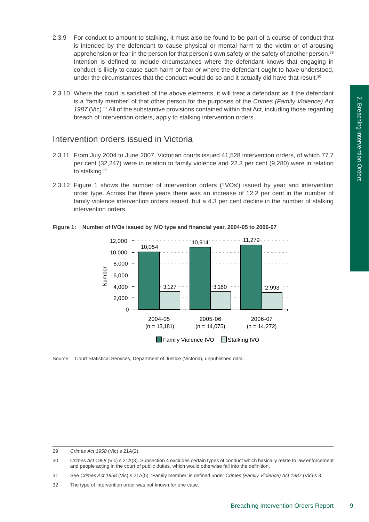- 2.3.9 For conduct to amount to stalking, it must also be found to be part of a course of conduct that is intended by the defendant to cause physical or mental harm to the victim or of arousing apprehension or fear in the person for that person's own safety or the safety of another person.<sup>29</sup> Intention is defined to include circumstances where the defendant knows that engaging in conduct is likely to cause such harm or fear *or* where the defendant ought to have understood, under the circumstances that the conduct would do so and it actually did have that result.<sup>30</sup>
- 2.3.10 Where the court is satisfied of the above elements, it will treat a defendant as if the defendant is a 'family member' of that other person for the purposes of the *Crimes (Family Violence) Act 1987* (Vic).31 All of the substantive provisions contained within that Act, including those regarding breach of intervention orders, apply to stalking intervention orders.

#### Intervention orders issued in Victoria

- 2.3.11 From July 2004 to June 2007, Victorian courts issued 41,528 intervention orders, of which 77.7 per cent (32,247) were in relation to family violence and 22.3 per cent (9,280) were in relation to stalking.<sup>32</sup>
- 2.3.12 Figure 1 shows the number of intervention orders ('IVOs') issued by year and intervention order type. Across the three years there was an increase of 12.2 per cent in the number of family violence intervention orders issued, but a 4.3 per cent decline in the number of stalking intervention orders.



**Figure 1: Number of IVOs issued by IVO type and fi nancial year, 2004-05 to 2006-07**

Source: Court Statistical Services, Department of Justice (Victoria), unpublished data.

31 See Crimes Act 1958 (Vic) s 21A(5). 'Family member' is defined under Crimes (Family Violence) Act 1987 (Vic) s 3.

<sup>29</sup> *Crimes Act 1958* (Vic) s 21A(2).

<sup>30</sup> *Crimes Act 1958* (Vic) s 21A(3). Subsection 4 excludes certain types of conduct which basically relate to law enforcement and people acting in the court of public duties, which would otherwise fall into the definition.

<sup>32</sup> The type of intervention order was not known for one case.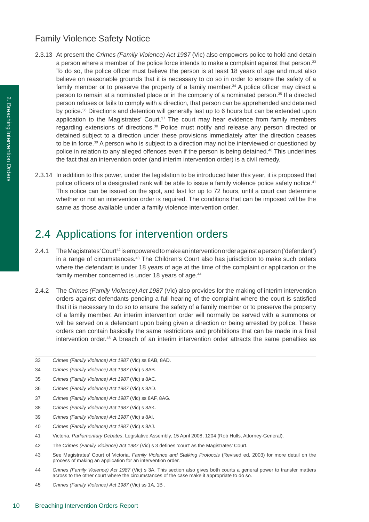#### Family Violence Safety Notice

- 2.3.13 At present the *Crimes (Family Violence) Act 1987* (Vic) also empowers police to hold and detain a person where a member of the police force intends to make a complaint against that person.33 To do so, the police officer must believe the person is at least 18 years of age and must also believe on reasonable grounds that it is necessary to do so in order to ensure the safety of a family member or to preserve the property of a family member.<sup>34</sup> A police officer may direct a person to remain at a nominated place or in the company of a nominated person.<sup>35</sup> If a directed person refuses or fails to comply with a direction, that person can be apprehended and detained by police.<sup>36</sup> Directions and detention will generally last up to 6 hours but can be extended upon application to the Magistrates' Court.<sup>37</sup> The court may hear evidence from family members regarding extensions of directions.38 Police must notify and release any person directed or detained subject to a direction under these provisions immediately after the direction ceases to be in force.<sup>39</sup> A person who is subject to a direction may not be interviewed or questioned by police in relation to any alleged offences even if the person is being detained.40 This underlines the fact that an intervention order (and interim intervention order) is a civil remedy.
- 2.3.14 In addition to this power, under the legislation to be introduced later this year, it is proposed that police officers of a designated rank will be able to issue a family violence police safety notice.<sup>41</sup> This notice can be issued on the spot, and last for up to 72 hours, until a court can determine whether or not an intervention order is required. The conditions that can be imposed will be the same as those available under a family violence intervention order.

### 2.4 Applications for intervention orders

- 2.4.1 The Magistrates' Court<sup>42</sup> is empowered to make an intervention order against a person ('defendant') in a range of circumstances.43 The Children's Court also has jurisdiction to make such orders where the defendant is under 18 years of age at the time of the complaint or application or the family member concerned is under 18 years of age.<sup>44</sup>
- 2.4.2 The *Crimes (Family Violence) Act 1987* (Vic) also provides for the making of interim intervention orders against defendants pending a full hearing of the complaint where the court is satisfied that it is necessary to do so to ensure the safety of a family member or to preserve the property of a family member. An interim intervention order will normally be served with a summons or will be served on a defendant upon being given a direction or being arrested by police. These orders can contain basically the same restrictions and prohibitions that can be made in a final intervention order.<sup>45</sup> A breach of an interim intervention order attracts the same penalties as
- 33 *Crimes (Family Violence) Act 1987* (Vic) ss 8AB, 8AD.
- 34 *Crimes (Family Violence) Act 1987* (Vic) s 8AB.
- 35 *Crimes (Family Violence) Act 1987* (Vic) s 8AC.
- 36 *Crimes (Family Violence) Act 1987* (Vic) s 8AD.
- 37 *Crimes (Family Violence) Act 1987* (Vic) ss 8AF, 8AG.
- 38 *Crimes (Family Violence) Act 1987* (Vic) s 8AK.
- 39 *Crimes (Family Violence) Act 1987* (Vic) s 8AI.
- 40 *Crimes (Family Violence) Act 1987* (Vic) s 8AJ.
- 41 Victoria, *Parliamentary Debates*, Legislative Assembly, 15 April 2008, 1204 (Rob Hulls, Attorney-General).
- 42 The *Crimes (Family Violence) Act 1987* (Vic) s 3 defines 'court' as the Magistrates' Court.
- 43 See Magistrates' Court of Victoria, *Family Violence and Stalking Protocols* (Revised ed, 2003) for more detail on the process of making an application for an intervention order.
- 44 *Crimes (Family Violence) Act 1987* (Vic) s 3A. This section also gives both courts a general power to transfer matters across to the other court where the circumstances of the case make it appropriate to do so.

45 *Crimes (Family Violence) Act 1987* (Vic) ss 1A, 1B .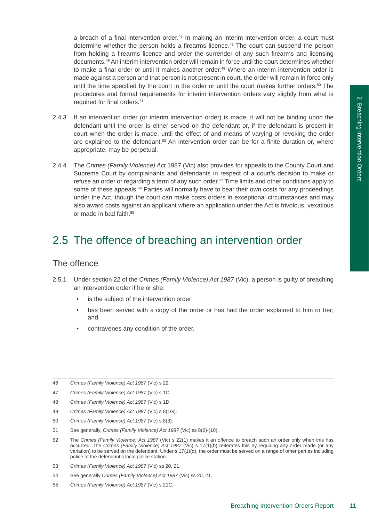a breach of a final intervention order.<sup>46</sup> In making an interim intervention order, a court must determine whether the person holds a firearms licence.<sup>47</sup> The court can suspend the person from holding a firearms licence and order the surrender of any such firearms and licensing documents.48 An interim intervention order will remain in force until the court determines whether to make a final order or until it makes another order.<sup>49</sup> Where an interim intervention order is made against a person and that person is not present in court, the order will remain in force only until the time specified by the court in the order or until the court makes further orders.<sup>50</sup> The procedures and formal requirements for interim intervention orders vary slightly from what is required for final orders.<sup>51</sup>

- 2.4.3 If an intervention order (or interim intervention order) is made, it will not be binding upon the defendant until the order is either served on the defendant or, if the defendant is present in court when the order is made, until the effect of and means of varying or revoking the order are explained to the defendant.<sup>52</sup> An intervention order can be for a finite duration or, where appropriate, may be perpetual.
- 2.4.4 The *Crimes (Family Violence) Act* 1987 (Vic) also provides for appeals to the County Court and Supreme Court by complainants and defendants in respect of a court's decision to make or refuse an order or regarding a term of any such order.<sup>53</sup> Time limits and other conditions apply to some of these appeals.<sup>54</sup> Parties will normally have to bear their own costs for any proceedings under the Act, though the court can make costs orders in exceptional circumstances and may also award costs against an applicant where an application under the Act is frivolous, vexatious or made in bad faith.<sup>55</sup>

### 2.5 The offence of breaching an intervention order

#### The offence

- 2.5.1 Under section 22 of the *Crimes (Family Violence) Act 1987* (Vic), a person is guilty of breaching an intervention order if he or she:
	- is the subject of the intervention order;
	- has been served with a copy of the order or has had the order explained to him or her; and
	- contravenes any condition of the order.

- 47 *Crimes (Family Violence) Act 1987* (Vic) s 1C.
- 48 *Crimes (Family Violence) Act 1987* (Vic) s 1D.
- 49 *Crimes (Family Violence) Act 1987* (Vic) s 8(1G).
- 50 *Crimes (Family Violence) Act 1987* (Vic) s 8(3).
- 51 See generally, *Crimes (Family Violence) Act 1987* (Vic) ss 8(2)-(10).
- 52 The *Crimes (Family Violence) Act 1987* (Vic) s 22(1) makes it an offence to breach such an order only when this has occurred. The *Crimes (Family Violence) Act 1987* (Vic) s 17(1)(b) reiterates this by requiring any order made (or any variation) to be served on the defendant. Under s 17(1)(d), the order must be served on a range of other parties including police at the defendant's local police station.
- 53 *Crimes (Family Violence) Act 1987* (Vic) ss 20, 21.
- 54 See generally *Crimes (Family Violence) Act 1987* (Vic) ss 20, 21.
- 55 *Crimes (Family Violence) Act 1987* (Vic) s 21C.

<sup>46</sup> *Crimes (Family Violence) Act 1987* (Vic) s 22.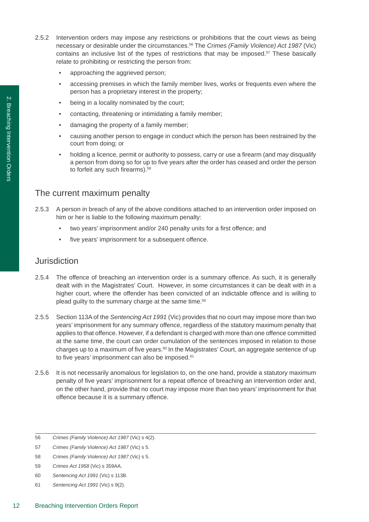- 2.5.2 Intervention orders may impose any restrictions or prohibitions that the court views as being necessary or desirable under the circumstances.56 The *Crimes (Family Violence) Act 1987* (Vic) contains an inclusive list of the types of restrictions that may be imposed.57 These basically relate to prohibiting or restricting the person from:
	- approaching the aggrieved person:
	- accessing premises in which the family member lives, works or frequents even where the person has a proprietary interest in the property;
	- being in a locality nominated by the court:
	- contacting, threatening or intimidating a family member;
	- damaging the property of a family member;
	- causing another person to engage in conduct which the person has been restrained by the court from doing; or
	- holding a licence, permit or authority to possess, carry or use a firearm (and may disqualify a person from doing so for up to five years after the order has ceased and order the person to forfeit any such firearms).<sup>58</sup>

#### The current maximum penalty

- 2.5.3 A person in breach of any of the above conditions attached to an intervention order imposed on him or her is liable to the following maximum penalty:
	- two years' imprisonment and/or 240 penalty units for a first offence; and
	- five years' imprisonment for a subsequent offence.

#### Jurisdiction

- 2.5.4 The offence of breaching an intervention order is a summary offence. As such, it is generally dealt with in the Magistrates' Court. However, in some circumstances it can be dealt with in a higher court, where the offender has been convicted of an indictable offence and is willing to plead guilty to the summary charge at the same time.<sup>59</sup>
- 2.5.5 Section 113A of the *Sentencing Act 1991* (Vic) provides that no court may impose more than two years' imprisonment for any summary offence, regardless of the statutory maximum penalty that applies to that offence. However, if a defendant is charged with more than one offence committed at the same time, the court can order cumulation of the sentences imposed in relation to those charges up to a maximum of five years.<sup>60</sup> In the Magistrates' Court, an aggregate sentence of up to five years' imprisonment can also be imposed.<sup>61</sup>
- 2.5.6 It is not necessarily anomalous for legislation to, on the one hand, provide a statutory maximum penalty of five years' imprisonment for a repeat offence of breaching an intervention order and, on the other hand, provide that no court may impose more than two years' imprisonment for that offence because it is a summary offence.

- 60 *Sentencing Act 1991* (Vic) s 113B.
- 61 *Sentencing Act 1991* (Vic) s 9(2).

<sup>56</sup> *Crimes (Family Violence) Act 1987* (Vic) s 4(2).

<sup>57</sup> *Crimes (Family Violence) Act 1987* (Vic) s 5.

<sup>58</sup> *Crimes (Family Violence) Act 1987* (Vic) s 5.

<sup>59</sup> *Crimes Act 1958* (Vic) s 359AA.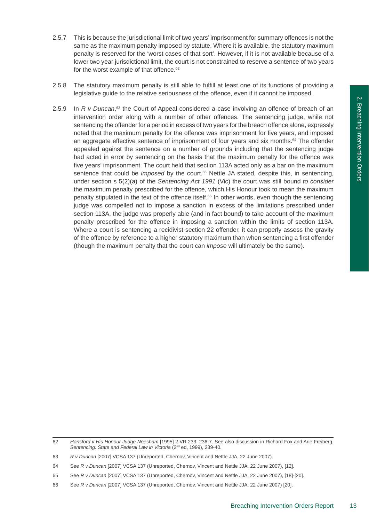- 2.5.7 This is because the jurisdictional limit of two years' imprisonment for summary offences is not the same as the maximum penalty imposed by statute. Where it is available, the statutory maximum penalty is reserved for the 'worst cases of that sort'. However, if it is not available because of a lower two year jurisdictional limit, the court is not constrained to reserve a sentence of two years for the worst example of that offence.<sup>62</sup>
- 2.5.8 The statutory maximum penalty is still able to fulfill at least one of its functions of providing a legislative guide to the relative seriousness of the offence, even if it cannot be imposed.
- 2.5.9 In *R v Duncan*,<sup>63</sup> the Court of Appeal considered a case involving an offence of breach of an intervention order along with a number of other offences. The sentencing judge, while not sentencing the offender for a period in excess of two years for the breach offence alone, expressly noted that the maximum penalty for the offence was imprisonment for five years, and imposed an aggregate effective sentence of imprisonment of four years and six months.<sup>64</sup> The offender appealed against the sentence on a number of grounds including that the sentencing judge had acted in error by sentencing on the basis that the maximum penalty for the offence was five years' imprisonment. The court held that section 113A acted only as a bar on the maximum sentence that could be *imposed* by the court.<sup>65</sup> Nettle JA stated, despite this, in sentencing, under section s 5(2)(a) of the *Sentencing Act 1991* (Vic) the court was still bound *to consider* the maximum penalty prescribed for the offence, which His Honour took to mean the maximum penalty stipulated in the text of the offence itself.66 In other words, even though the sentencing judge was compelled not to impose a sanction in excess of the limitations prescribed under section 113A, the judge was properly able (and in fact bound) to take account of the maximum penalty prescribed for the offence in imposing a sanction within the limits of section 113A. Where a court is sentencing a recidivist section 22 offender, it can properly assess the gravity of the offence by reference to a higher statutory maximum than when sentencing a first offender (though the maximum penalty that the court can *impose* will ultimately be the same).

66 See *R v Duncan* [2007] VCSA 137 (Unreported, Chernov, Vincent and Nettle JJA, 22 June 2007) [20].

<sup>62</sup> *Hansford v His Honour Judge Neesham* [1995] 2 VR 233, 236-7. See also discussion in Richard Fox and Arie Freiberg, *Sentencing: State and Federal Law in Victoria* (2nd ed, 1999), 239-40.

<sup>63</sup> *R v Duncan* [2007] VCSA 137 (Unreported, Chernov, Vincent and Nettle JJA, 22 June 2007).

<sup>64</sup> See *R v Duncan* [2007] VCSA 137 (Unreported, Chernov, Vincent and Nettle JJA, 22 June 2007), [12].

<sup>65</sup> See *R v Duncan* [2007] VCSA 137 (Unreported, Chernov, Vincent and Nettle JJA, 22 June 2007), [18]-[20].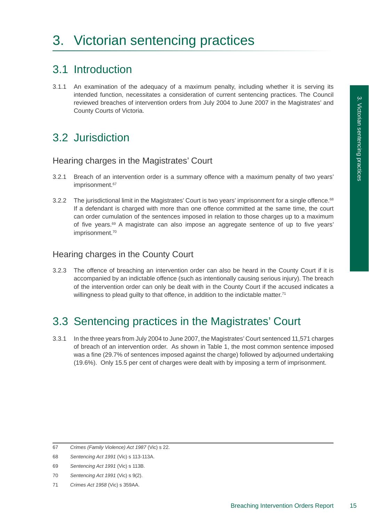## 3. Victorian sentencing practices

### 3.1 Introduction

3.1.1 An examination of the adequacy of a maximum penalty, including whether it is serving its intended function, necessitates a consideration of current sentencing practices. The Council reviewed breaches of intervention orders from July 2004 to June 2007 in the Magistrates' and County Courts of Victoria.

### 3.2 Jurisdiction

#### Hearing charges in the Magistrates' Court

- 3.2.1 Breach of an intervention order is a summary offence with a maximum penalty of two years' imprisonment.<sup>67</sup>
- 3.2.2 The jurisdictional limit in the Magistrates' Court is two years' imprisonment for a single offence.<sup>68</sup> If a defendant is charged with more than one offence committed at the same time, the court can order cumulation of the sentences imposed in relation to those charges up to a maximum of five years. $69$  A magistrate can also impose an aggregate sentence of up to five years' imprisonment.<sup>70</sup>

#### Hearing charges in the County Court

3.2.3 The offence of breaching an intervention order can also be heard in the County Court if it is accompanied by an indictable offence (such as intentionally causing serious injury). The breach of the intervention order can only be dealt with in the County Court if the accused indicates a willingness to plead guilty to that offence, in addition to the indictable matter.<sup>71</sup>

### 3.3 Sentencing practices in the Magistrates' Court

3.3.1 In the three years from July 2004 to June 2007, the Magistrates' Court sentenced 11,571 charges of breach of an intervention order. As shown in Table 1, the most common sentence imposed was a fine (29.7% of sentences imposed against the charge) followed by adjourned undertaking (19.6%). Only 15.5 per cent of charges were dealt with by imposing a term of imprisonment.

- 69 *Sentencing Act 1991* (Vic) s 113B.
- 70 *Sentencing Act 1991* (Vic) s 9(2).
- 71 *Crimes Act 1958* (Vic) s 359AA.

<sup>67</sup> *Crimes (Family Violence) Act 1987* (Vic) s 22.

<sup>68</sup> *Sentencing Act 1991* (Vic) s 113-113A.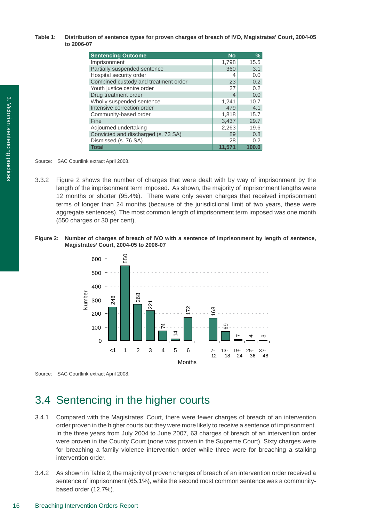#### **Table 1: Distribution of sentence types for proven charges of breach of IVO, Magistrates' Court, 2004-05 to 2006-07**

| <b>Sentencing Outcome</b>            | <b>No</b> | $\%$  |
|--------------------------------------|-----------|-------|
| Imprisonment                         | 1,798     | 15.5  |
| Partially suspended sentence         | 360       | 3.1   |
| Hospital security order              | 4         | 0.0   |
| Combined custody and treatment order | 23        | 0.2   |
| Youth justice centre order           | 27        | 0.2   |
| Drug treatment order                 | 4         | 0.0   |
| Wholly suspended sentence            | 1,241     | 10.7  |
| Intensive correction order           | 479       | 4.1   |
| Community-based order                | 1,818     | 15.7  |
| Fine                                 | 3,437     | 29.7  |
| Adjourned undertaking                | 2,263     | 19.6  |
| Convicted and discharged (s. 73 SA)  | 89        | 0.8   |
| Dismissed (s. 76 SA)                 | 28        | 0.2   |
| <b>Total</b>                         | 11,571    | 100.0 |

Source: SAC Courtlink extract April 2008.

- 3.3.2 Figure 2 shows the number of charges that were dealt with by way of imprisonment by the length of the imprisonment term imposed. As shown, the majority of imprisonment lengths were 12 months or shorter (95.4%). There were only seven charges that received imprisonment terms of longer than 24 months (because of the jurisdictional limit of two years, these were aggregate sentences). The most common length of imprisonment term imposed was one month (550 charges or 30 per cent).
- **Figure 2: Number of charges of breach of IVO with a sentence of imprisonment by length of sentence, Magistrates' Court, 2004-05 to 2006-07**





### 3.4 Sentencing in the higher courts

- 3.4.1 Compared with the Magistrates' Court, there were fewer charges of breach of an intervention order proven in the higher courts but they were more likely to receive a sentence of imprisonment. In the three years from July 2004 to June 2007, 63 charges of breach of an intervention order were proven in the County Court (none was proven in the Supreme Court). Sixty charges were for breaching a family violence intervention order while three were for breaching a stalking intervention order.
- 3.4.2 As shown in Table 2, the majority of proven charges of breach of an intervention order received a sentence of imprisonment (65.1%), while the second most common sentence was a communitybased order (12.7%).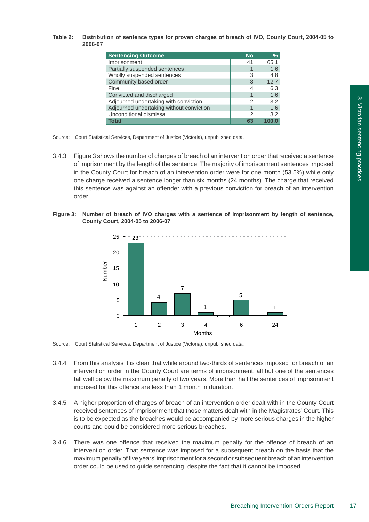**Table 2: Distribution of sentence types for proven charges of breach of IVO, County Court, 2004-05 to 2006-07**

| <b>Sentencing Outcome</b>                | <b>No</b>      | $\frac{9}{6}$ |
|------------------------------------------|----------------|---------------|
| Imprisonment                             | 41             | 65.1          |
| Partially suspended sentences            |                | 1.6           |
| Wholly suspended sentences               | 3              | 4.8           |
| Community based order                    | 8              | 12.7          |
| Fine                                     | 4              | 6.3           |
| Convicted and discharged                 | 1              | 1.6           |
| Adjourned undertaking with conviction    | 2              | 3.2           |
| Adjourned undertaking without conviction | 1              | 1.6           |
| Unconditional dismissal                  | $\overline{2}$ | 3.2           |
| <b>Total</b>                             | 63             |               |

Source: Court Statistical Services, Department of Justice (Victoria), unpublished data.

- 3.4.3 Figure 3 shows the number of charges of breach of an intervention order that received a sentence of imprisonment by the length of the sentence. The majority of imprisonment sentences imposed in the County Court for breach of an intervention order were for one month (53.5%) while only one charge received a sentence longer than six months (24 months). The charge that received this sentence was against an offender with a previous conviction for breach of an intervention order.
- **Figure 3: Number of breach of IVO charges with a sentence of imprisonment by length of sentence, County Court, 2004-05 to 2006-07**



Source: Court Statistical Services, Department of Justice (Victoria), unpublished data.

- 3.4.4 From this analysis it is clear that while around two-thirds of sentences imposed for breach of an intervention order in the County Court are terms of imprisonment, all but one of the sentences fall well below the maximum penalty of two years. More than half the sentences of imprisonment imposed for this offence are less than 1 month in duration.
- 3.4.5 A higher proportion of charges of breach of an intervention order dealt with in the County Court received sentences of imprisonment that those matters dealt with in the Magistrates' Court. This is to be expected as the breaches would be accompanied by more serious charges in the higher courts and could be considered more serious breaches.
- 3.4.6 There was one offence that received the maximum penalty for the offence of breach of an intervention order. That sentence was imposed for a subsequent breach on the basis that the maximum penalty of five years' imprisonment for a second or subsequent breach of an intervention order could be used to guide sentencing, despite the fact that it cannot be imposed.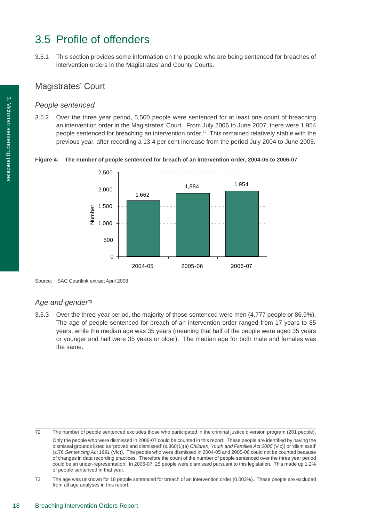### 3.5 Profile of offenders

3.5.1 This section provides some information on the people who are being sentenced for breaches of intervention orders in the Magistrates' and County Courts.

#### Magistrates' Court

#### *People sentenced*

3.5.2 Over the three year period, 5,500 people were sentenced for at least one count of breaching an intervention order in the Magistrates' Court. From July 2006 to June 2007, there were 1,954 people sentenced for breaching an intervention order.72 This remained relatively stable with the previous year, after recording a 13.4 per cent increase from the period July 2004 to June 2005.

**Figure 4: The number of people sentenced for breach of an intervention order, 2004-05 to 2006-07** 



Source: SAC Courtlink extract April 2008.

#### Age and gender<sup>73</sup>

3.5.3 Over the three-year period, the majority of those sentenced were men (4,777 people or 86.9%). The age of people sentenced for breach of an intervention order ranged from 17 years to 85 years, while the median age was 35 years (meaning that half of the people were aged 35 years or younger and half were 35 years or older). The median age for both male and females was the same.

<sup>72</sup> The number of people sentenced excludes those who participated in the criminal justice diversion program (201 people). Only the people who were dismissed in 2006-07 could be counted in this report. These people are identified by having the dismissal grounds listed as 'proved and dismissed' (s.360(1)(a) *Children, Youth and Families Act 2005* (Vic)) or 'dismissed' (s.76 *Sentencing Act 1991* (Vic)). The people who were dismissed in 2004-05 and 2005-06 could not be counted because of changes in data recording practices. Therefore the count of the number of people sentenced over the three year period could be an under-representation. In 2006-07, 25 people were dismissed pursuant to this legislation. This made up 1.2% of people sentenced in that year.

<sup>73</sup> The age was unknown for 18 people sentenced for breach of an intervention order (0.003%). These people are excluded from all age analyses in this report.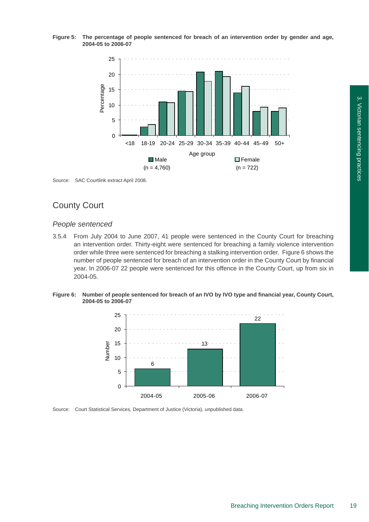#### **Figure 5: The percentage of people sentenced for breach of an intervention order by gender and age, 2004-05 to 2006-07**



Source: SAC Courtlink extract April 2008.

### County Court

#### *People sentenced*

3.5.4 From July 2004 to June 2007, 41 people were sentenced in the County Court for breaching an intervention order. Thirty-eight were sentenced for breaching a family violence intervention order while three were sentenced for breaching a stalking intervention order. Figure 6 shows the number of people sentenced for breach of an intervention order in the County Court by financial year. In 2006-07 22 people were sentenced for this offence in the County Court, up from six in 2004-05.

#### **Figure 6: Number of people sentenced for breach of an IVO by IVO type and fi nancial year, County Court, 2004-05 to 2006-07**



Source: Court Statistical Services, Department of Justice (Victoria), unpublished data.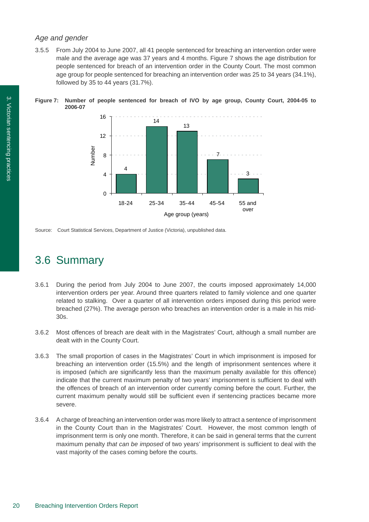#### *Age and gender*

3.5.5 From July 2004 to June 2007, all 41 people sentenced for breaching an intervention order were male and the average age was 37 years and 4 months. Figure 7 shows the age distribution for people sentenced for breach of an intervention order in the County Court. The most common age group for people sentenced for breaching an intervention order was 25 to 34 years (34.1%), followed by 35 to 44 years (31.7%).





Source: Court Statistical Services, Department of Justice (Victoria), unpublished data.

### 3.6 Summary

- 3.6.1 During the period from July 2004 to June 2007, the courts imposed approximately 14,000 intervention orders per year. Around three quarters related to family violence and one quarter related to stalking. Over a quarter of all intervention orders imposed during this period were breached (27%). The average person who breaches an intervention order is a male in his mid-30s.
- 3.6.2 Most offences of breach are dealt with in the Magistrates' Court, although a small number are dealt with in the County Court.
- 3.6.3 The small proportion of cases in the Magistrates' Court in which imprisonment is imposed for breaching an intervention order (15.5%) and the length of imprisonment sentences where it is imposed (which are significantly less than the maximum penalty available for this offence) indicate that the current maximum penalty of two years' imprisonment is sufficient to deal with the offences of breach of an intervention order currently coming before the court. Further, the current maximum penalty would still be sufficient even if sentencing practices became more severe.
- 3.6.4 A charge of breaching an intervention order was more likely to attract a sentence of imprisonment in the County Court than in the Magistrates' Court. However, the most common length of imprisonment term is only one month. Therefore, it can be said in general terms that the current maximum penalty *that can be imposed* of two years' imprisonment is sufficient to deal with the vast majority of the cases coming before the courts.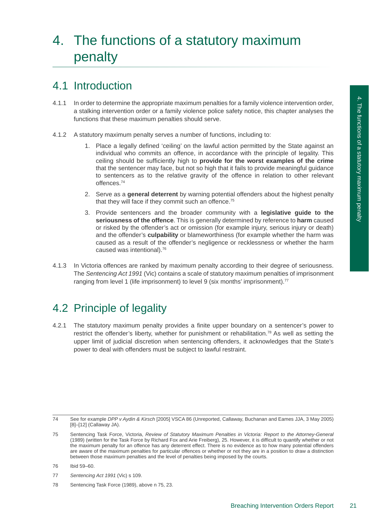## 4. The functions of a statutory maximum penalty

### 4.1 Introduction

- 4.1.1 In order to determine the appropriate maximum penalties for a family violence intervention order, a stalking intervention order or a family violence police safety notice, this chapter analyses the functions that these maximum penalties should serve.
- 4.1.2 A statutory maximum penalty serves a number of functions, including to:
	- 1. Place a legally defined 'ceiling' on the lawful action permitted by the State against an individual who commits an offence, in accordance with the principle of legality. This ceiling should be sufficiently high to **provide for the worst examples of the crime** that the sentencer may face, but not so high that it fails to provide meaningful guidance to sentencers as to the relative gravity of the offence in relation to other relevant offences.74
	- 2. Serve as a **general deterrent** by warning potential offenders about the highest penalty that they will face if they commit such an offence.<sup>75</sup>
	- 3. Provide sentencers and the broader community with a **legislative guide to the seriousness of the offence**. This is generally determined by reference to **harm** caused or risked by the offender's act or omission (for example injury, serious injury or death) and the offender's **culpability** or blameworthiness (for example whether the harm was caused as a result of the offender's negligence or recklessness or whether the harm caused was intentional).76
- 4.1.3 In Victoria offences are ranked by maximum penalty according to their degree of seriousness. The *Sentencing Act 1991* (Vic) contains a scale of statutory maximum penalties of imprisonment ranging from level 1 (life imprisonment) to level 9 (six months' imprisonment).<sup>77</sup>

### 4.2 Principle of legality

4.2.1 The statutory maximum penalty provides a finite upper boundary on a sentencer's power to restrict the offender's liberty, whether for punishment or rehabilitation.<sup>78</sup> As well as setting the upper limit of judicial discretion when sentencing offenders, it acknowledges that the State's power to deal with offenders must be subject to lawful restraint.

<sup>74</sup> See for example *DPP v Aydin & Kirsch* [2005] VSCA 86 (Unreported, Callaway, Buchanan and Eames JJA, 3 May 2005) [8]–[12] (Callaway JA).

<sup>75</sup> Sentencing Task Force, Victoria, *Review of Statutory Maximum Penalties in Victoria: Report to the Attorney-General* (1989) (written for the Task Force by Richard Fox and Arie Freiberg), 25. However, it is difficult to quantify whether or not the maximum penalty for an offence has any deterrent effect. There is no evidence as to how many potential offenders are aware of the maximum penalties for particular offences or whether or not they are in a position to draw a distinction between those maximum penalties and the level of penalties being imposed by the courts.

<sup>76</sup> Ibid 59–60.

<sup>77</sup> *Sentencing Act 1991* (Vic) s 109.

<sup>78</sup> Sentencing Task Force (1989), above n 75, 23.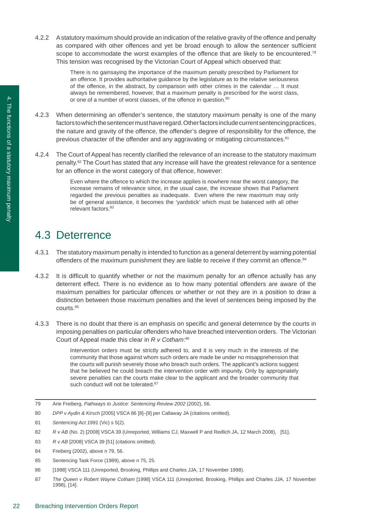4.2.2 A statutory maximum should provide an indication of the relative gravity of the offence and penalty as compared with other offences and yet be broad enough to allow the sentencer sufficient scope to accommodate the worst examples of the offence that are likely to be encountered.<sup>79</sup> This tension was recognised by the Victorian Court of Appeal which observed that:

> There is no gainsaying the importance of the maximum penalty prescribed by Parliament for an offence. It provides authoritative guidance by the legislature as to the relative seriousness of the offence, in the abstract, by comparison with other crimes in the calendar … It must always be remembered, however, that a maximum penalty is prescribed for the worst class, or one of a number of worst classes, of the offence in question.<sup>80</sup>

- 4.2.3 When determining an offender's sentence, the statutory maximum penalty is one of the many factors to which the sentencer must have regard. Other factors include current sentencing practices, the nature and gravity of the offence, the offender's degree of responsibility for the offence, the previous character of the offender and any aggravating or mitigating circumstances.<sup>81</sup>
- 4.2.4 The Court of Appeal has recently clarified the relevance of an increase to the statutory maximum penalty.82 The Court has stated that any increase will have the greatest relevance for a sentence for an offence in the worst category of that offence, however:

Even where the offence to which the increase applies is nowhere near the worst category, the increase remains of relevance since, in the usual case, the increase shows that Parliament regarded the previous penalties as inadequate. Even where the new maximum may only be of general assistance, it becomes the 'yardstick' which must be balanced with all other relevant factors.<sup>83</sup>

### 4.3 Deterrence

- 4.3.1 The statutory maximum penalty is intended to function as a general deterrent by warning potential offenders of the maximum punishment they are liable to receive if they commit an offence.<sup>84</sup>
- 4.3.2 It is difficult to quantify whether or not the maximum penalty for an offence actually has any deterrent effect. There is no evidence as to how many potential offenders are aware of the maximum penalties for particular offences or whether or not they are in a position to draw a distinction between those maximum penalties and the level of sentences being imposed by the courts.<sup>85</sup>
- 4.3.3 There is no doubt that there is an emphasis on specific and general deterrence by the courts in imposing penalties on particular offenders who have breached intervention orders. The Victorian Court of Appeal made this clear in *R v Cotham*: 86

Intervention orders must be strictly adhered to, and it is very much in the interests of the community that those against whom such orders are made be under no misapprehension that the courts will punish severely those who breach such orders. The applicant's actions suggest that he believed he could breach the intervention order with impunity. Only by appropriately severe penalties can the courts make clear to the applicant and the broader community that such conduct will not be tolerated.<sup>87</sup>

79 Arie Freiberg, *Pathways to Justice: Sentencing Review 2002* (2002), 56.

- 80 DPP v Aydin & Kirsch [2005] VSCA 86 [8]-[9] per Callaway JA (citations omitted).
- 81 *Sentencing Act 1991* (Vic) s 5(2).
- 82 *R v AB* (No. 2) [2008] VSCA 39 (Unreported, Williams CJ, Maxwell P and Redlich JA, 12 March 2008), [51].
- 83 *R v AB* [2008] VSCA 39 [51] (citations omitted).
- 84 Freiberg (2002), above n 79, 56.
- 85 Sentencing Task Force (1989), above n 75, 25.
- 86 [1998] VSCA 111 (Unreported, Brooking, Phillips and Charles JJA, 17 November 1998).
- 87 *The Queen v Robert Wayne Cotham* [1998] VSCA 111 (Unreported, Brooking, Phillips and Charles JJA, 17 November 1998), [14].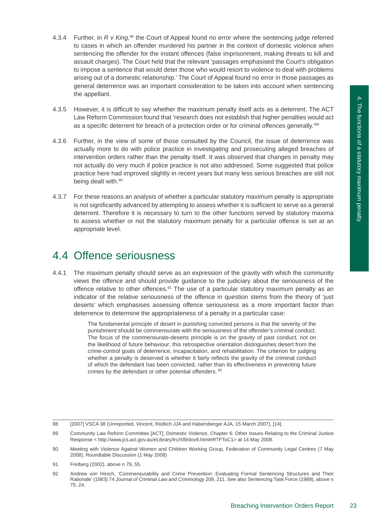- 4.3.4 Further, in *R v King,*88 the Court of Appeal found no error where the sentencing judge referred to cases in which an offender murdered his partner in the context of domestic violence when sentencing the offender for the instant offences (false imprisonment, making threats to kill and assault charges). The Court held that the relevant 'passages emphasised the Court's obligation to impose a sentence that would deter those who would resort to violence to deal with problems arising out of a domestic relationship.' The Court of Appeal found no error in those passages as general deterrence was an important consideration to be taken into account when sentencing the appellant.
- 4.3.5 However, it is difficult to say whether the maximum penalty itself acts as a deterrent. The ACT Law Reform Commission found that 'research does not establish that higher penalties would act as a specific deterrent for breach of a protection order or for criminal offences generally.'89
- 4.3.6 Further, in the view of some of those consulted by the Council, the issue of deterrence was actually more to do with police practice in investigating and prosecuting alleged breaches of intervention orders rather than the penalty itself. It was observed that changes in penalty may not actually do very much if police practice is not also addressed. Some suggested that police practice here had improved slightly in recent years but many less serious breaches are still not being dealt with.<sup>90</sup>
- 4.3.7 For these reasons an analysis of whether a particular statutory maximum penalty is appropriate is not significantly advanced by attempting to assess whether it is sufficient to serve as a general deterrent. Therefore it is necessary to turn to the other functions served by statutory maxima to assess whether or not the statutory maximum penalty for a particular offence is set at an appropriate level.

### 4.4 Offence seriousness

4.4.1 The maximum penalty should serve as an expression of the gravity with which the community views the offence and should provide guidance to the judiciary about the seriousness of the offence relative to other offences.<sup>91</sup> The use of a particular statutory maximum penalty as an indicator of the relative seriousness of the offence in question stems from the theory of 'just deserts' which emphasises assessing offence seriousness as a more important factor than deterrence to determine the appropriateness of a penalty in a particular case:

> The fundamental principle of desert in punishing convicted persons is that the severity of the punishment should be commensurate with the seriousness of the offender's criminal conduct. The focus of the commensurate-deserts principle is on the gravity of past conduct, not on the likelihood of future behaviour; this retrospective orientation distinguishes desert from the crime-control goals of deterrence, incapacitation, and rehabilitation. The criterion for judging whether a penalty is deserved is whether it fairly reflects the gravity of the criminal conduct of which the defendant has been convicted, rather than its effectiveness in preventing future crimes by the defendant or other potential offenders. 92

<sup>88 [2007]</sup> VSCA 38 (Unreported, Vincent, Redlich JJA and Habersberger AJA, 15 March 2007), [14].

<sup>89</sup> Community Law Reform Committee [ACT], Domestic Violence, Chapter 6: Other Issues Relating to the Criminal Justice Response < http://www.jcs.act.gov.au/eLibrary/lrc/r09/dov6.html#RTFToC1> at 14 May 2008.

<sup>90</sup> Meeting with Violence Against Women and Children Working Group, Federation of Community Legal Centres (7 May 2008); Roundtable Discussion (1 May 2008)

<sup>91</sup> Freiberg (2002), above n 79, 55.

<sup>92</sup> Andrew von Hirsch, 'Commensurability and Crime Prevention: Evaluating Formal Sentencing Structures and Their Rationale' (1983) 74 *Journal of Criminal Law and Criminology* 209, 211. See also Sentencing Task Force (1989), above n 75, 24.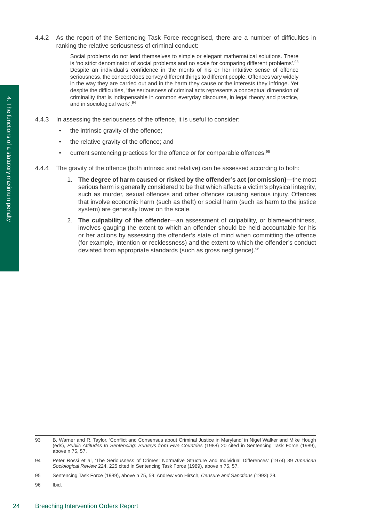4.4.2 As the report of the Sentencing Task Force recognised, there are a number of difficulties in ranking the relative seriousness of criminal conduct:

> Social problems do not lend themselves to simple or elegant mathematical solutions. There is 'no strict denominator of social problems and no scale for comparing different problems'.<sup>93</sup> Despite an individual's confidence in the merits of his or her intuitive sense of offence seriousness, the concept does convey different things to different people. Offences vary widely in the way they are carried out and in the harm they cause or the interests they infringe. Yet despite the difficulties, 'the seriousness of criminal acts represents a conceptual dimension of criminality that is indispensable in common everyday discourse, in legal theory and practice, and in sociological work'.94

- 4.4.3 In assessing the seriousness of the offence, it is useful to consider:
	- the intrinsic gravity of the offence;
	- the relative gravity of the offence; and
	- current sentencing practices for the offence or for comparable offences.<sup>95</sup>
- 4.4.4 The gravity of the offence (both intrinsic and relative) can be assessed according to both:
	- 1. **The degree of harm caused or risked by the offender's act (or omission)—**the most serious harm is generally considered to be that which affects a victim's physical integrity, such as murder, sexual offences and other offences causing serious injury. Offences that involve economic harm (such as theft) or social harm (such as harm to the justice system) are generally lower on the scale.
	- 2. **The culpability of the offender**—an assessment of culpability, or blameworthiness, involves gauging the extent to which an offender should be held accountable for his or her actions by assessing the offender's state of mind when committing the offence (for example, intention or recklessness) and the extent to which the offender's conduct deviated from appropriate standards (such as gross negligence).<sup>96</sup>

<sup>93</sup> B. Warner and R. Taylor, 'Conflict and Consensus about Criminal Justice in Maryland' in Nigel Walker and Mike Hough (eds), *Public Attitudes to Sentencing: Surveys from Five Countries* (1988) 20 cited in Sentencing Task Force (1989), above n 75, 57.

<sup>94</sup> Peter Rossi et al, 'The Seriousness of Crimes: Normative Structure and Individual Differences' (1974) 39 *American Sociological Review* 224, 225 cited in Sentencing Task Force (1989), above n 75, 57.

<sup>95</sup> Sentencing Task Force (1989), above n 75, 59; Andrew von Hirsch, *Censure and Sanctions* (1993) 29.

<sup>96</sup> Ibid.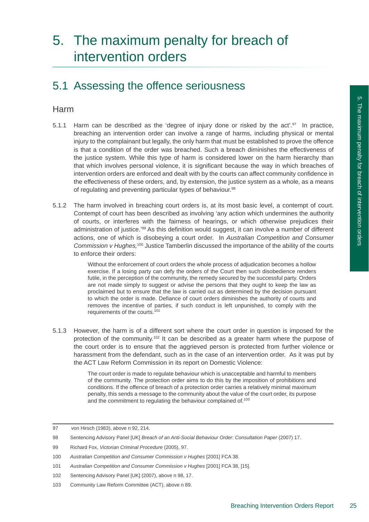## 5. The maximum penalty for breach of intervention orders

### 5.1 Assessing the offence seriousness

#### Harm

- 5.1.1 Harm can be described as the 'degree of injury done or risked by the act'. $97$  In practice, breaching an intervention order can involve a range of harms, including physical or mental injury to the complainant but legally, the only harm that must be established to prove the offence is that a condition of the order was breached. Such a breach diminishes the effectiveness of the justice system. While this type of harm is considered lower on the harm hierarchy than that which involves personal violence, it is significant because the way in which breaches of intervention orders are enforced and dealt with by the courts can affect community confidence in the effectiveness of these orders, and, by extension, the justice system as a whole, as a means of regulating and preventing particular types of behaviour.<sup>98</sup>
- 5.1.2 The harm involved in breaching court orders is, at its most basic level, a contempt of court. Contempt of court has been described as involving 'any action which undermines the authority of courts, or interferes with the fairness of hearings, or which otherwise prejudices their administration of justice.'<sup>99</sup> As this definition would suggest, it can involve a number of different actions, one of which is disobeying a court order. In *Australian Competition and Consumer Commission v Hughes,*100 Justice Tamberlin discussed the importance of the ability of the courts to enforce their orders:

Without the enforcement of court orders the whole process of adjudication becomes a hollow exercise. If a losing party can defy the orders of the Court then such disobedience renders futile, in the perception of the community, the remedy secured by the successful party. Orders are not made simply to suggest or advise the persons that they ought to keep the law as proclaimed but to ensure that the law is carried out as determined by the decision pursuant to which the order is made. Defiance of court orders diminishes the authority of courts and removes the incentive of parties, if such conduct is left unpunished, to comply with the requirements of the courts.101

5.1.3 However, the harm is of a different sort where the court order in question is imposed for the protection of the community.<sup>102</sup> It can be described as a greater harm where the purpose of the court order is to ensure that the aggrieved person is protected from further violence or harassment from the defendant, such as in the case of an intervention order. As it was put by the ACT Law Reform Commission in its report on Domestic Violence:

> The court order is made to regulate behaviour which is unacceptable and harmful to members of the community. The protection order aims to do this by the imposition of prohibitions and conditions. If the offence of breach of a protection order carries a relatively minimal maximum penalty, this sends a message to the community about the value of the court order, its purpose and the commitment to regulating the behaviour complained of.<sup>103</sup>

<sup>97</sup> von Hirsch (1983), above n 92, 214.

<sup>98</sup> Sentencing Advisory Panel [UK] *Breach of an Anti-Social Behaviour Order: Consultation Paper* (2007) 17.

<sup>99</sup> Richard Fox, *Victorian Criminal Procedure* (2005), 97.

<sup>100</sup> *Australian Competition and Consumer Commission v Hughes* [2001] FCA 38.

<sup>101</sup> *Australian Competition and Consumer Commission v Hughes* [2001] FCA 38, [15].

<sup>102</sup> Sentencing Advisory Panel [UK] (2007), above n 98, 17.

<sup>103</sup> Community Law Reform Committee (ACT), above n 89.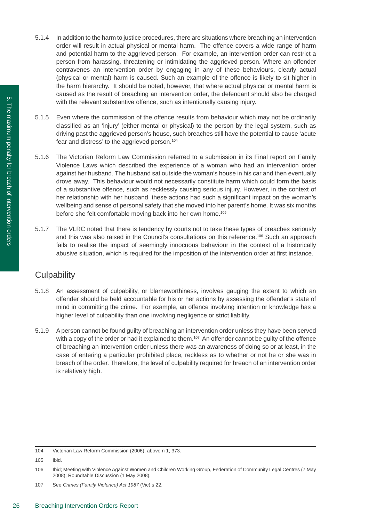- 5.1.4 In addition to the harm to justice procedures, there are situations where breaching an intervention order will result in actual physical or mental harm. The offence covers a wide range of harm and potential harm to the aggrieved person. For example, an intervention order can restrict a person from harassing, threatening or intimidating the aggrieved person. Where an offender contravenes an intervention order by engaging in any of these behaviours, clearly actual (physical or mental) harm is caused. Such an example of the offence is likely to sit higher in the harm hierarchy. It should be noted, however, that where actual physical or mental harm is caused as the result of breaching an intervention order, the defendant should also be charged with the relevant substantive offence, such as intentionally causing injury.
- 5.1.5 Even where the commission of the offence results from behaviour which may not be ordinarily classified as an 'injury' (either mental or physical) to the person by the legal system, such as driving past the aggrieved person's house, such breaches still have the potential to cause 'acute fear and distress' to the aggrieved person.104
- 5.1.6 The Victorian Reform Law Commission referred to a submission in its Final report on Family Violence Laws which described the experience of a woman who had an intervention order against her husband. The husband sat outside the woman's house in his car and then eventually drove away. This behaviour would not necessarily constitute harm which could form the basis of a substantive offence, such as recklessly causing serious injury. However, in the context of her relationship with her husband, these actions had such a significant impact on the woman's wellbeing and sense of personal safety that she moved into her parent's home. It was six months before she felt comfortable moving back into her own home.<sup>105</sup>
- 5.1.7 The VLRC noted that there is tendency by courts not to take these types of breaches seriously and this was also raised in the Council's consultations on this reference.<sup>106</sup> Such an approach fails to realise the impact of seemingly innocuous behaviour in the context of a historically abusive situation, which is required for the imposition of the intervention order at first instance.

#### **Culpability**

- 5.1.8 An assessment of culpability, or blameworthiness, involves gauging the extent to which an offender should be held accountable for his or her actions by assessing the offender's state of mind in committing the crime. For example, an offence involving intention or knowledge has a higher level of culpability than one involving negligence or strict liability.
- 5.1.9 A person cannot be found guilty of breaching an intervention order unless they have been served with a copy of the order or had it explained to them.<sup>107</sup> An offender cannot be guilty of the offence of breaching an intervention order unless there was an awareness of doing so or at least, in the case of entering a particular prohibited place, reckless as to whether or not he or she was in breach of the order. Therefore, the level of culpability required for breach of an intervention order is relatively high.

<sup>104</sup> Victorian Law Reform Commission (2006), above n 1, 373.

<sup>105</sup> Ibid.

<sup>106</sup> Ibid; Meeting with Violence Against Women and Children Working Group, Federation of Community Legal Centres (7 May 2008); Roundtable Discussion (1 May 2008).

<sup>107</sup> See *Crimes (Family Violence) Act 1987* (Vic) s 22.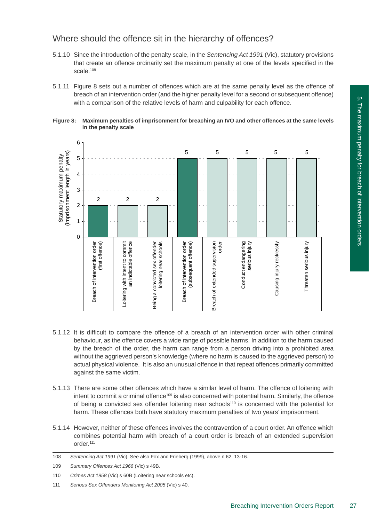#### Where should the offence sit in the hierarchy of offences?

- 5.1.10 Since the introduction of the penalty scale, in the *Sentencing Act 1991* (Vic), statutory provisions that create an offence ordinarily set the maximum penalty at one of the levels specified in the scale.<sup>108</sup>
- 5.1.11 Figure 8 sets out a number of offences which are at the same penalty level as the offence of breach of an intervention order (and the higher penalty level for a second or subsequent offence) with a comparison of the relative levels of harm and culpability for each offence.





- 5.1.12 It is difficult to compare the offence of a breach of an intervention order with other criminal behaviour, as the offence covers a wide range of possible harms. In addition to the harm caused by the breach of the order, the harm can range from a person driving into a prohibited area without the aggrieved person's knowledge (where no harm is caused to the aggrieved person) to actual physical violence. It is also an unusual offence in that repeat offences primarily committed against the same victim.
- 5.1.13 There are some other offences which have a similar level of harm. The offence of loitering with intent to commit a criminal offence<sup>109</sup> is also concerned with potential harm. Similarly, the offence of being a convicted sex offender loitering near schools<sup>110</sup> is concerned with the potential for harm. These offences both have statutory maximum penalties of two years' imprisonment.
- 5.1.14 However, neither of these offences involves the contravention of a court order. An offence which combines potential harm with breach of a court order is breach of an extended supervision order.<sup>111</sup>

<sup>108</sup> *Sentencing Act 1991* (Vic). See also Fox and Frieberg (1999), above n 62, 13-16.

<sup>109</sup> *Summary Offences Act 1966* (Vic) s 49B.

<sup>110</sup> *Crimes Act 1958* (Vic) s 60B (Loitering near schools etc).

<sup>111</sup> *Serious Sex Offenders Monitoring Act 2005* (Vic) s 40.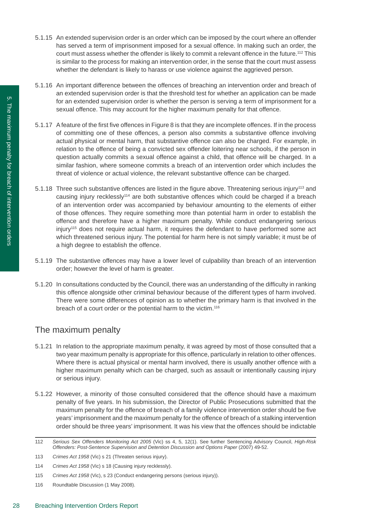- 5.1.15 An extended supervision order is an order which can be imposed by the court where an offender has served a term of imprisonment imposed for a sexual offence. In making such an order, the court must assess whether the offender is likely to commit a relevant offence in the future.112 This is similar to the process for making an intervention order, in the sense that the court must assess whether the defendant is likely to harass or use violence against the aggrieved person.
- 5.1.16 An important difference between the offences of breaching an intervention order and breach of an extended supervision order is that the threshold test for whether an application can be made for an extended supervision order is whether the person is serving a term of imprisonment for a sexual offence. This may account for the higher maximum penalty for that offence.
- 5.1.17 A feature of the first five offences in Figure 8 is that they are incomplete offences. If in the process of committing one of these offences, a person also commits a substantive offence involving actual physical or mental harm, that substantive offence can also be charged. For example, in relation to the offence of being a convicted sex offender loitering near schools, if the person in question actually commits a sexual offence against a child, that offence will be charged. In a similar fashion, where someone commits a breach of an intervention order which includes the threat of violence or actual violence, the relevant substantive offence can be charged.
- 5.1.18 Three such substantive offences are listed in the figure above. Threatening serious injury<sup>113</sup> and causing injury recklessly<sup>114</sup> are both substantive offences which could be charged if a breach of an intervention order was accompanied by behaviour amounting to the elements of either of those offences. They require something more than potential harm in order to establish the offence and therefore have a higher maximum penalty. While conduct endangering serious injury<sup>115</sup> does not require actual harm, it requires the defendant to have performed some act which threatened serious injury. The potential for harm here is not simply variable; it must be of a high degree to establish the offence.
- 5.1.19 The substantive offences may have a lower level of culpability than breach of an intervention order; however the level of harm is greater.
- 5.1.20 In consultations conducted by the Council, there was an understanding of the difficulty in ranking this offence alongside other criminal behaviour because of the different types of harm involved. There were some differences of opinion as to whether the primary harm is that involved in the breach of a court order or the potential harm to the victim.116

#### The maximum penalty

- 5.1.21 In relation to the appropriate maximum penalty, it was agreed by most of those consulted that a two year maximum penalty is appropriate for this offence, particularly in relation to other offences. Where there is actual physical or mental harm involved, there is usually another offence with a higher maximum penalty which can be charged, such as assault or intentionally causing injury or serious injury.
- 5.1.22 However, a minority of those consulted considered that the offence should have a maximum penalty of five years. In his submission, the Director of Public Prosecutions submitted that the maximum penalty for the offence of breach of a family violence intervention order should be five years' imprisonment and the maximum penalty for the offence of breach of a stalking intervention order should be three years' imprisonment. It was his view that the offences should be indictable

<sup>112</sup> *Serious Sex Offenders Monitoring Act 2005* (Vic) ss 4, 5, 12(1). See further Sentencing Advisory Council, *High-Risk Offenders: Post-Sentence Supervision and Detention Discussion and Options Paper* (2007) 49-52.

<sup>113</sup> *Crimes Act 1958* (Vic) s 21 (Threaten serious injury).

<sup>114</sup> *Crimes Act 1958* (Vic) s 18 (Causing injury recklessly).

<sup>115</sup> *Crimes Act 1958* (Vic), s 23 (Conduct endangering persons (serious injury)).

<sup>116</sup> Roundtable Discussion (1 May 2008).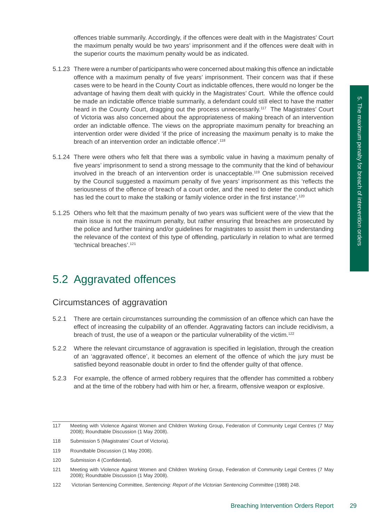offences triable summarily. Accordingly, if the offences were dealt with in the Magistrates' Court the maximum penalty would be two years' imprisonment and if the offences were dealt with in the superior courts the maximum penalty would be as indicated.

- 5.1.23 There were a number of participants who were concerned about making this offence an indictable offence with a maximum penalty of five years' imprisonment. Their concern was that if these cases were to be heard in the County Court as indictable offences, there would no longer be the advantage of having them dealt with quickly in the Magistrates' Court. While the offence could be made an indictable offence triable summarily, a defendant could still elect to have the matter heard in the County Court, dragging out the process unnecessarily.<sup>117</sup> The Magistrates' Court of Victoria was also concerned about the appropriateness of making breach of an intervention order an indictable offence. The views on the appropriate maximum penalty for breaching an intervention order were divided 'if the price of increasing the maximum penalty is to make the breach of an intervention order an indictable offence'.<sup>118</sup>
- 5.1.24 There were others who felt that there was a symbolic value in having a maximum penalty of five years' imprisonment to send a strong message to the community that the kind of behaviour involved in the breach of an intervention order is unacceptable.<sup>119</sup> One submission received by the Council suggested a maximum penalty of five years' imprisonment as this 'reflects the seriousness of the offence of breach of a court order, and the need to deter the conduct which has led the court to make the stalking or family violence order in the first instance'.<sup>120</sup>
- 5.1.25 Others who felt that the maximum penalty of two years was sufficient were of the view that the main issue is not the maximum penalty, but rather ensuring that breaches are prosecuted by the police and further training and/or guidelines for magistrates to assist them in understanding the relevance of the context of this type of offending, particularly in relation to what are termed 'technical breaches'.121

### 5.2 Aggravated offences

#### Circumstances of aggravation

- 5.2.1 There are certain circumstances surrounding the commission of an offence which can have the effect of increasing the culpability of an offender. Aggravating factors can include recidivism, a breach of trust, the use of a weapon or the particular vulnerability of the victim.<sup>122</sup>
- 5.2.2 Where the relevant circumstance of aggravation is specified in legislation, through the creation of an 'aggravated offence', it becomes an element of the offence of which the jury must be satisfied beyond reasonable doubt in order to find the offender guilty of that offence.
- 5.2.3 For example, the offence of armed robbery requires that the offender has committed a robbery and at the time of the robbery had with him or her, a firearm, offensive weapon or explosive.

<sup>117</sup> Meeting with Violence Against Women and Children Working Group, Federation of Community Legal Centres (7 May 2008); Roundtable Discussion (1 May 2008).

<sup>118</sup> Submission 5 (Magistrates' Court of Victoria).

<sup>119</sup> Roundtable Discussion (1 May 2008).

<sup>120</sup> Submission 4 (Confidential).

<sup>121</sup> Meeting with Violence Against Women and Children Working Group, Federation of Community Legal Centres (7 May 2008); Roundtable Discussion (1 May 2008).

<sup>122</sup> Victorian Sentencing Committee, *Sentencing: Report of the Victorian Sentencing Committee* (1988) 248.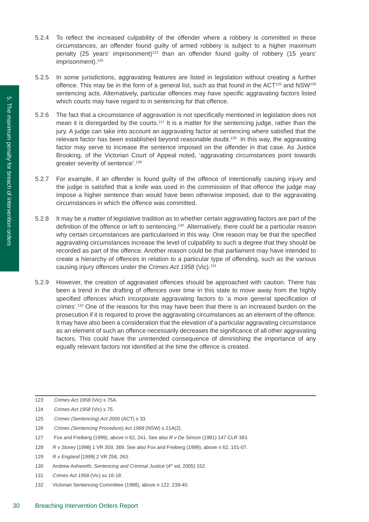- 5.2.4 To reflect the increased culpability of the offender where a robbery is committed in these circumstances, an offender found guilty of armed robbery is subject to a higher maximum penalty (25 years' imprisonment)123 than an offender found guilty of robbery (15 years' imprisonment).<sup>124</sup>
- 5.2.5 In some jurisdictions, aggravating features are listed in legislation without creating a further offence. This may be in the form of a general list, such as that found in the  $ACT<sup>125</sup>$  and NSW<sup>126</sup> sentencing acts. Alternatively, particular offences may have specific aggravating factors listed which courts may have regard to in sentencing for that offence.
- 5.2.6 The fact that a circumstance of aggravation is not specifically mentioned in legislation does not mean it is disregarded by the courts.127 It is a matter for the sentencing judge, rather than the jury. A judge can take into account an aggravating factor at sentencing where satisfied that the relevant factor has been established beyond reasonable doubt.<sup>128</sup> In this way, the aggravating factor may serve to increase the sentence imposed on the offender in that case. As Justice Brooking, of the Victorian Court of Appeal noted, 'aggravating circumstances point towards greater severity of sentence'.129
- 5.2.7 For example, if an offender is found guilty of the offence of intentionally causing injury and the judge is satisfied that a knife was used in the commission of that offence the judge may impose a higher sentence than would have been otherwise imposed, due to the aggravating circumstances in which the offence was committed.
- 5.2.8 It may be a matter of legislative tradition as to whether certain aggravating factors are part of the definition of the offence or left to sentencing.<sup>130</sup> Alternatively, there could be a particular reason why certain circumstances are particularised in this way. One reason may be that the specified aggravating circumstances increase the level of culpability to such a degree that they should be recorded as part of the offence. Another reason could be that parliament may have intended to create a hierarchy of offences in relation to a particular type of offending, such as the various causing injury offences under the *Crimes Act 1958* (Vic).<sup>131</sup>
- 5.2.9 However, the creation of aggravated offences should be approached with caution. There has been a trend in the drafting of offences over time in this state to move away from the highly specified offences which incorporate aggravating factors to 'a more general specification of crimes'.132 One of the reasons for this may have been that there is an increased burden on the prosecution if it is required to prove the aggravating circumstances as an element of the offence. It may have also been a consideration that the elevation of a particular aggravating circumstance as an element of such an offence necessarily decreases the significance of all other aggravating factors. This could have the unintended consequence of diminishing the importance of any equally relevant factors not identified at the time the offence is created.
- 123 *Crimes Act 1958* (Vic) s 75A.
- 124 *Crimes Act 1958* (Vic) s 75.
- 125 *Crimes (Sentencing) Act 2005* (ACT) s 33.
- 126 *Crimes (Sentencing Procedure) Act 1999* (NSW) s 21A(2).
- 127 Fox and Freiberg (1999), above n 62, 241. See also *R v De Simoni* (1981) 147 CLR 383.
- 128 *R v Storey* [1998] 1 VR 359, 369. See also Fox and Freiberg (1999), above n 62, 101-07.
- 129 *R v England* [1999] 2 VR 258, 263.
- 130 Andrew Ashworth, *Sentencing and Criminal Justice* (4<sup>th</sup> ed, 2005) 152.
- 131 *Crimes Act 1958* (Vic) ss 16-18.
- 132 Victorian Sentencing Committee (1988), above n 122, 239-40.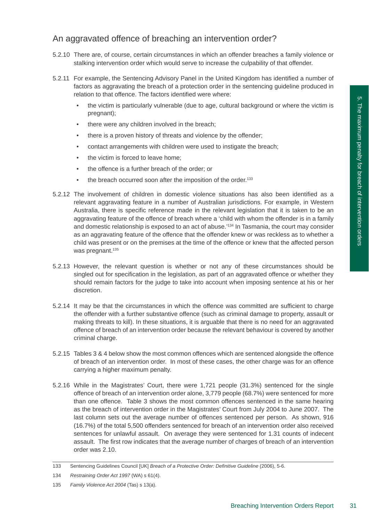#### An aggravated offence of breaching an intervention order?

- 5.2.10 There are, of course, certain circumstances in which an offender breaches a family violence or stalking intervention order which would serve to increase the culpability of that offender.
- 5.2.11 For example, the Sentencing Advisory Panel in the United Kingdom has identified a number of factors as aggravating the breach of a protection order in the sentencing guideline produced in relation to that offence. The factors identified were where:
	- the victim is particularly vulnerable (due to age, cultural background or where the victim is pregnant);
	- there were any children involved in the breach;
	- there is a proven history of threats and violence by the offender;
	- contact arrangements with children were used to instigate the breach;
	- the victim is forced to leave home;
	- the offence is a further breach of the order; or
	- $\bullet$  the breach occurred soon after the imposition of the order.<sup>133</sup>
- 5.2.12 The involvement of children in domestic violence situations has also been identified as a relevant aggravating feature in a number of Australian jurisdictions. For example, in Western Australia, there is specific reference made in the relevant legislation that it is taken to be an aggravating feature of the offence of breach where a 'child with whom the offender is in a family and domestic relationship is exposed to an act of abuse.<sup>'134</sup> In Tasmania, the court may consider as an aggravating feature of the offence that the offender knew or was reckless as to whether a child was present or on the premises at the time of the offence or knew that the affected person was pregnant.<sup>135</sup>
- 5.2.13 However, the relevant question is whether or not any of these circumstances should be singled out for specification in the legislation, as part of an aggravated offence or whether they should remain factors for the judge to take into account when imposing sentence at his or her discretion.
- 5.2.14 It may be that the circumstances in which the offence was committed are sufficient to charge the offender with a further substantive offence (such as criminal damage to property, assault or making threats to kill). In these situations, it is arguable that there is no need for an aggravated offence of breach of an intervention order because the relevant behaviour is covered by another criminal charge.
- 5.2.15 Tables 3 & 4 below show the most common offences which are sentenced alongside the offence of breach of an intervention order. In most of these cases, the other charge was for an offence carrying a higher maximum penalty.
- 5.2.16 While in the Magistrates' Court, there were 1,721 people (31.3%) sentenced for the single offence of breach of an intervention order alone, 3,779 people (68.7%) were sentenced for more than one offence. Table 3 shows the most common offences sentenced in the same hearing as the breach of intervention order in the Magistrates' Court from July 2004 to June 2007. The last column sets out the average number of offences sentenced per person. As shown, 916 (16.7%) of the total 5,500 offenders sentenced for breach of an intervention order also received sentences for unlawful assault. On average they were sentenced for 1.31 counts of indecent assault. The first row indicates that the average number of charges of breach of an intervention order was 2.10.

<sup>133</sup> Sentencing Guidelines Council [UK] *Breach of a Protective Order: Defi nitive Guideline* (2006), 5-6.

<sup>134</sup> *Restraining Order Act 1997* (WA) s 61(4).

<sup>135</sup> *Family Violence Act 2004* (Tas) s 13(a).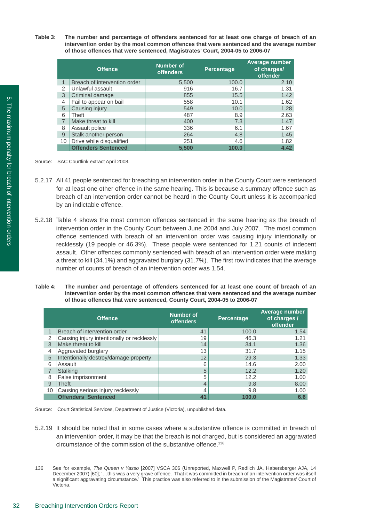**Table 3: The number and percentage of offenders sentenced for at least one charge of breach of an intervention order by the most common offences that were sentenced and the average number of those offences that were sentenced, Magistrates' Court, 2004-05 to 2006-07**

|                | Offence                      | <b>Number of</b><br><b>offenders</b> | <b>Percentage</b> | Average number<br>of charges/<br>offender |
|----------------|------------------------------|--------------------------------------|-------------------|-------------------------------------------|
| 1              | Breach of intervention order | 5,500                                | 100.0             | 2.10                                      |
| $\overline{2}$ | Unlawful assault             | 916                                  | 16.7              | 1.31                                      |
| 3              | Criminal damage              | 855                                  | 15.5              | 1.42                                      |
| 4              | Fail to appear on bail       | 558                                  | 10.1              | 1.62                                      |
| 5              | Causing injury               | 549                                  | 10.0              | 1.28                                      |
| 6              | Theft                        | 487                                  | 8.9               | 2.63                                      |
| $\overline{7}$ | Make threat to kill          | 400                                  | 7.3               | 1.47                                      |
| 8              | Assault police               | 336                                  | 6.1               | 1.67                                      |
| 9              | Stalk another person         | 264                                  | 4.8               | 1.45                                      |
| 10             | Drive while disqualified     | 251                                  | 4.6               | 1.82                                      |
|                | <b>Offenders Sentenced</b>   | 5,500                                | 100.0             | 4.42                                      |

Source: SAC Courtlink extract April 2008.

- 5.2.17 All 41 people sentenced for breaching an intervention order in the County Court were sentenced for at least one other offence in the same hearing. This is because a summary offence such as breach of an intervention order cannot be heard in the County Court unless it is accompanied by an indictable offence.
- 5.2.18 Table 4 shows the most common offences sentenced in the same hearing as the breach of intervention order in the County Court between June 2004 and July 2007. The most common offence sentenced with breach of an intervention order was causing injury intentionally or recklessly (19 people or 46.3%). These people were sentenced for 1.21 counts of indecent assault. Other offences commonly sentenced with breach of an intervention order were making a threat to kill (34.1%) and aggravated burglary (31.7%). The first row indicates that the average number of counts of breach of an intervention order was 1.54.
- **Table 4: The number and percentage of offenders sentenced for at least one count of breach of an intervention order by the most common offences that were sentenced and the average number of those offences that were sentenced, County Court, 2004-05 to 2006-07**

|    | <b>Offence</b>                             | <b>Number of</b><br><b>offenders</b> | <b>Percentage</b> | Average number<br>of charges /<br><b>offender</b> |
|----|--------------------------------------------|--------------------------------------|-------------------|---------------------------------------------------|
|    | Breach of intervention order               | 41                                   | 100.0             | 1.54                                              |
| 2  | Causing injury intentionally or recklessly | 19                                   | 46.3              | 1.21                                              |
| 3  | Make threat to kill                        | 14                                   | 34.1              | 1.36                                              |
| 4  | Aggravated burglary                        | 13                                   | 31.7              | 1.15                                              |
| 5  | Intentionally destroy/damage property      | 12                                   | 29.3              | 1.33                                              |
| 6  | Assault                                    | 6                                    | 14.6              | 2.00                                              |
|    | <b>Stalking</b>                            | 5                                    | 12.2              | 1.20                                              |
| 8  | False imprisonment                         | 5                                    | 12.2              | 1.00                                              |
| 9  | <b>Theft</b>                               | 4                                    | 9.8               | 8.00                                              |
| 10 | Causing serious injury recklessly          | 4                                    | 9.8               | 1.00                                              |
|    | <b>Offenders Sentenced</b>                 | 41                                   | 100.0             | 6.6                                               |

Source: Court Statistical Services, Department of Justice (Victoria), unpublished data.

5.2.19 It should be noted that in some cases where a substantive offence is committed in breach of an intervention order, it may be that the breach is not charged, but is considered an aggravated circumstance of the commission of the substantive offence.136

<sup>136</sup> See for example, *The Queen v Yasso* [2007] VSCA 306 (Unreported, Maxwell P, Redlich JA, Habersberger AJA, 14 December 2007) [60]; '…this was a very grave offence. That it was committed in breach of an intervention order was itself a significant aggravating circumstance.' This practice was also referred to in the submission of the Magistrates' Court of Victoria.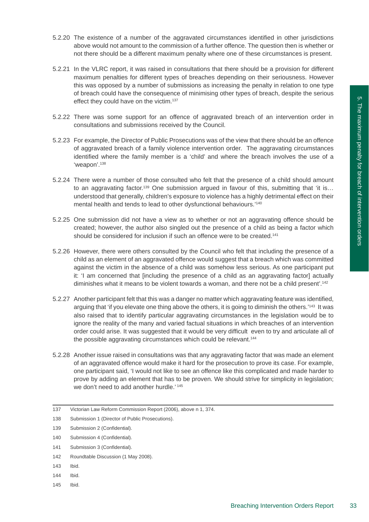- 5.2.20 The existence of a number of the aggravated circumstances identified in other jurisdictions above would not amount to the commission of a further offence. The question then is whether or not there should be a different maximum penalty where one of these circumstances is present.
- 5.2.21 In the VLRC report, it was raised in consultations that there should be a provision for different maximum penalties for different types of breaches depending on their seriousness. However this was opposed by a number of submissions as increasing the penalty in relation to one type of breach could have the consequence of minimising other types of breach, despite the serious effect they could have on the victim.<sup>137</sup>
- 5.2.22 There was some support for an offence of aggravated breach of an intervention order in consultations and submissions received by the Council.
- 5.2.23 For example, the Director of Public Prosecutions was of the view that there should be an offence of aggravated breach of a family violence intervention order. The aggravating circumstances identified where the family member is a 'child' and where the breach involves the use of a 'weapon'.<sup>138</sup>
- 5.2.24 There were a number of those consulted who felt that the presence of a child should amount to an aggravating factor.<sup>139</sup> One submission argued in favour of this, submitting that 'it is... understood that generally, children's exposure to violence has a highly detrimental effect on their mental health and tends to lead to other dysfunctional behaviours.'140
- 5.2.25 One submission did not have a view as to whether or not an aggravating offence should be created; however, the author also singled out the presence of a child as being a factor which should be considered for inclusion if such an offence were to be created.<sup>141</sup>
- 5.2.26 However, there were others consulted by the Council who felt that including the presence of a child as an element of an aggravated offence would suggest that a breach which was committed against the victim in the absence of a child was somehow less serious. As one participant put it: 'I am concerned that [including the presence of a child as an aggravating factor] actually diminishes what it means to be violent towards a woman, and there not be a child present'.<sup>142</sup>
- 5.2.27 Another participant felt that this was a danger no matter which aggravating feature was identified, arguing that 'if you elevate one thing above the others, it is going to diminish the others.'143 It was also raised that to identify particular aggravating circumstances in the legislation would be to ignore the reality of the many and varied factual situations in which breaches of an intervention order could arise. It was suggested that it would be very difficult even to try and articulate all of the possible aggravating circumstances which could be relevant.<sup>144</sup>
- 5.2.28 Another issue raised in consultations was that any aggravating factor that was made an element of an aggravated offence would make it hard for the prosecution to prove its case. For example, one participant said, 'I would not like to see an offence like this complicated and made harder to prove by adding an element that has to be proven. We should strive for simplicity in legislation; we don't need to add another hurdle.' <sup>145</sup>

- 141 Submission 3 (Confidential).
- 142 Roundtable Discussion (1 May 2008).
- 143 Ibid.
- 144 Ibid.
- 145 Ibid.

<sup>137</sup> Victorian Law Reform Commission Report (2006), above n 1, 374.

<sup>138</sup> Submission 1 (Director of Public Prosecutions).

<sup>139</sup> Submission 2 (Confidential).

<sup>140</sup> Submission 4 (Confidential).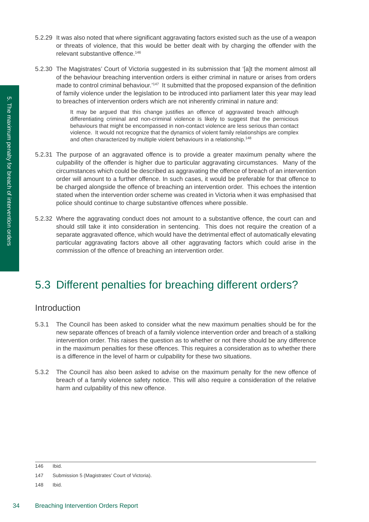- 5.2.29 It was also noted that where significant aggravating factors existed such as the use of a weapon or threats of violence, that this would be better dealt with by charging the offender with the relevant substantive offence.<sup>146</sup>
- 5.2.30 The Magistrates' Court of Victoria suggested in its submission that '[a]t the moment almost all of the behaviour breaching intervention orders is either criminal in nature or arises from orders made to control criminal behaviour.'<sup>147</sup> It submitted that the proposed expansion of the definition of family violence under the legislation to be introduced into parliament later this year may lead to breaches of intervention orders which are not inherently criminal in nature and:

It may be argued that this change justifies an offence of aggravated breach although differentiating criminal and non-criminal violence is likely to suggest that the pernicious behaviours that might be encompassed in non-contact violence are less serious than contact violence. It would not recognize that the dynamics of violent family relationships are complex and often characterized by multiple violent behaviours in a relationship.<sup>148</sup>

- 5.2.31 The purpose of an aggravated offence is to provide a greater maximum penalty where the culpability of the offender is higher due to particular aggravating circumstances. Many of the circumstances which could be described as aggravating the offence of breach of an intervention order will amount to a further offence. In such cases, it would be preferable for that offence to be charged alongside the offence of breaching an intervention order. This echoes the intention stated when the intervention order scheme was created in Victoria when it was emphasised that police should continue to charge substantive offences where possible.
- 5.2.32 Where the aggravating conduct does not amount to a substantive offence, the court can and should still take it into consideration in sentencing. This does not require the creation of a separate aggravated offence, which would have the detrimental effect of automatically elevating particular aggravating factors above all other aggravating factors which could arise in the commission of the offence of breaching an intervention order.

### 5.3 Different penalties for breaching different orders?

#### Introduction

- 5.3.1 The Council has been asked to consider what the new maximum penalties should be for the new separate offences of breach of a family violence intervention order and breach of a stalking intervention order. This raises the question as to whether or not there should be any difference in the maximum penalties for these offences. This requires a consideration as to whether there is a difference in the level of harm or culpability for these two situations.
- 5.3.2 The Council has also been asked to advise on the maximum penalty for the new offence of breach of a family violence safety notice. This will also require a consideration of the relative harm and culpability of this new offence.

146 Ibid.

<sup>147</sup> Submission 5 (Magistrates' Court of Victoria).

<sup>148</sup> Ibid.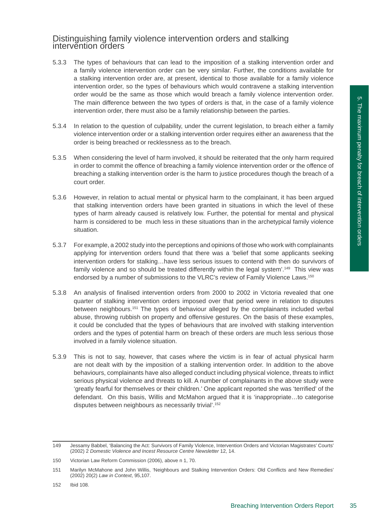#### Distinguishing family violence intervention orders and stalking intervention orders

- 5.3.3 The types of behaviours that can lead to the imposition of a stalking intervention order and a family violence intervention order can be very similar. Further, the conditions available for a stalking intervention order are, at present, identical to those available for a family violence intervention order, so the types of behaviours which would contravene a stalking intervention order would be the same as those which would breach a family violence intervention order. The main difference between the two types of orders is that, in the case of a family violence intervention order, there must also be a family relationship between the parties.
- 5.3.4 In relation to the question of culpability, under the current legislation, to breach either a family violence intervention order or a stalking intervention order requires either an awareness that the order is being breached or recklessness as to the breach.
- 5.3.5 When considering the level of harm involved, it should be reiterated that the only harm required in order to commit the offence of breaching a family violence intervention order or the offence of breaching a stalking intervention order is the harm to justice procedures though the breach of a court order.
- 5.3.6 However, in relation to actual mental or physical harm to the complainant, it has been argued that stalking intervention orders have been granted in situations in which the level of these types of harm already caused is relatively low. Further, the potential for mental and physical harm is considered to be much less in these situations than in the archetypical family violence situation.
- 5.3.7 For example, a 2002 study into the perceptions and opinions of those who work with complainants applying for intervention orders found that there was a 'belief that some applicants seeking intervention orders for stalking…have less serious issues to contend with then do survivors of family violence and so should be treated differently within the legal system'.<sup>149</sup> This view was endorsed by a number of submissions to the VLRC's review of Family Violence Laws.<sup>150</sup>
- 5.3.8 An analysis of finalised intervention orders from 2000 to 2002 in Victoria revealed that one quarter of stalking intervention orders imposed over that period were in relation to disputes between neighbours.<sup>151</sup> The types of behaviour alleged by the complainants included verbal abuse, throwing rubbish on property and offensive gestures. On the basis of these examples, it could be concluded that the types of behaviours that are involved with stalking intervention orders and the types of potential harm on breach of these orders are much less serious those involved in a family violence situation.
- 5.3.9 This is not to say, however, that cases where the victim is in fear of actual physical harm are not dealt with by the imposition of a stalking intervention order. In addition to the above behaviours, complainants have also alleged conduct including physical violence, threats to inflict serious physical violence and threats to kill. A number of complainants in the above study were 'greatly fearful for themselves or their children.' One applicant reported she was 'terrified' of the defendant. On this basis, Willis and McMahon argued that it is 'inappropriate…to categorise disputes between neighbours as necessarily trivial'.152

<sup>149</sup> Jessamy Babbel, 'Balancing the Act: Survivors of Family Violence, Intervention Orders and Victorian Magistrates' Courts' (2002) 2 *Domestic Violence and Incest Resource Centre Newsletter* 12, 14.

<sup>150</sup> Victorian Law Reform Commission (2006), above n 1, 70.

<sup>151</sup> Marilyn McMahone and John Willis, 'Neighbours and Stalking Intervention Orders: Old Conflicts and New Remedies' (2002) 20(2) *Law in Context*, 95,107.

<sup>152</sup> Ibid 108.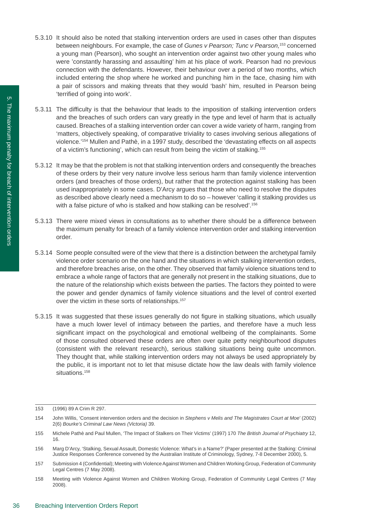- 5.3.10 It should also be noted that stalking intervention orders are used in cases other than disputes between neighbours. For example, the case of *Gunes v Pearson; Tunc v Pearson,*153 concerned a young man (Pearson), who sought an intervention order against two other young males who were 'constantly harassing and assaulting' him at his place of work. Pearson had no previous connection with the defendants. However, their behaviour over a period of two months, which included entering the shop where he worked and punching him in the face, chasing him with a pair of scissors and making threats that they would 'bash' him, resulted in Pearson being 'terrified of going into work'.
- 5.3.11 The difficulty is that the behaviour that leads to the imposition of stalking intervention orders and the breaches of such orders can vary greatly in the type and level of harm that is actually caused. Breaches of a stalking intervention order can cover a wide variety of harm, ranging from 'matters, objectively speaking, of comparative triviality to cases involving serious allegations of violence.'154 Mullen and Pathè, in a 1997 study, described the 'devastating effects on all aspects of a victim's functioning', which can result from being the victim of stalking.<sup>155</sup>
- 5.3.12 It may be that the problem is not that stalking intervention orders and consequently the breaches of these orders by their very nature involve less serious harm than family violence intervention orders (and breaches of those orders), but rather that the protection against stalking has been used inappropriately in some cases. D'Arcy argues that those who need to resolve the disputes as described above clearly need a mechanism to do so – however 'calling it stalking provides us with a false picture of who is stalked and how stalking can be resolved'.<sup>156</sup>
- 5.3.13 There were mixed views in consultations as to whether there should be a difference between the maximum penalty for breach of a family violence intervention order and stalking intervention order.
- 5.3.14 Some people consulted were of the view that there is a distinction between the archetypal family violence order scenario on the one hand and the situations in which stalking intervention orders, and therefore breaches arise, on the other. They observed that family violence situations tend to embrace a whole range of factors that are generally not present in the stalking situations, due to the nature of the relationship which exists between the parties. The factors they pointed to were the power and gender dynamics of family violence situations and the level of control exerted over the victim in these sorts of relationships.<sup>157</sup>
- 5.3.15 It was suggested that these issues generally do not figure in stalking situations, which usually have a much lower level of intimacy between the parties, and therefore have a much less significant impact on the psychological and emotional wellbeing of the complainants. Some of those consulted observed these orders are often over quite petty neighbourhood disputes (consistent with the relevant research), serious stalking situations being quite uncommon. They thought that, while stalking intervention orders may not always be used appropriately by the public, it is important not to let that misuse dictate how the law deals with family violence situations.<sup>158</sup>

<sup>153 (1996) 89</sup> A Crim R 297.

<sup>154</sup> John Willis, 'Consent intervention orders and the decision in *Stephens v Melis and The Magistrates Court at Moe*' (2002) 2(6) *Bourke's Criminal Law News (Victoria)* 39.

<sup>155</sup> Michele Pathè and Paul Mullen, 'The Impact of Stalkers on Their Victims' (1997) 170 *The British Journal of Psychiatry* 12, 16.

<sup>156</sup> Marg D'Arcy, 'Stalking, Sexual Assault, Domestic Violence: What's in a Name?' (Paper presented at the Stalking: Criminal Justice Responses Conference convened by the Australian Institute of Criminology, Sydney, 7-8 December 2000), 5.

<sup>157</sup> Submission 4 (Confidential); Meeting with Violence Against Women and Children Working Group, Federation of Community Legal Centres (7 May 2008).

<sup>158</sup> Meeting with Violence Against Women and Children Working Group, Federation of Community Legal Centres (7 May 2008).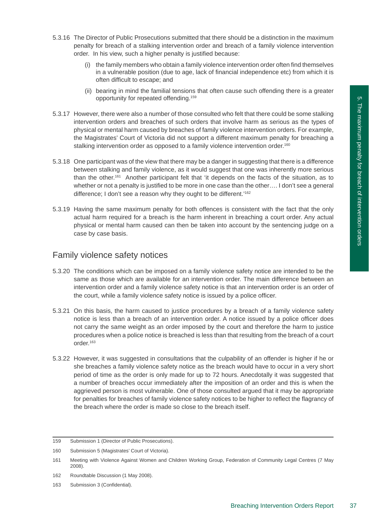- 5.3.16 The Director of Public Prosecutions submitted that there should be a distinction in the maximum penalty for breach of a stalking intervention order and breach of a family violence intervention order. In his view, such a higher penalty is justified because:
	- (i) the family members who obtain a family violence intervention order often find themselves in a vulnerable position (due to age, lack of financial independence etc) from which it is often difficult to escape; and
	- (ii) bearing in mind the familial tensions that often cause such offending there is a greater opportunity for repeated offending.159
- 5.3.17 However, there were also a number of those consulted who felt that there could be some stalking intervention orders and breaches of such orders that involve harm as serious as the types of physical or mental harm caused by breaches of family violence intervention orders. For example, the Magistrates' Court of Victoria did not support a different maximum penalty for breaching a stalking intervention order as opposed to a family violence intervention order.<sup>160</sup>
- 5.3.18 One participant was of the view that there may be a danger in suggesting that there is a difference between stalking and family violence, as it would suggest that one was inherently more serious than the other.<sup>161</sup> Another participant felt that 'it depends on the facts of the situation, as to whether or not a penalty is justified to be more in one case than the other.... I don't see a general difference; I don't see a reason why they ought to be different.<sup>'162</sup>
- 5.3.19 Having the same maximum penalty for both offences is consistent with the fact that the only actual harm required for a breach is the harm inherent in breaching a court order. Any actual physical or mental harm caused can then be taken into account by the sentencing judge on a case by case basis.

#### Family violence safety notices

- 5.3.20 The conditions which can be imposed on a family violence safety notice are intended to be the same as those which are available for an intervention order. The main difference between an intervention order and a family violence safety notice is that an intervention order is an order of the court, while a family violence safety notice is issued by a police officer.
- 5.3.21 On this basis, the harm caused to justice procedures by a breach of a family violence safety notice is less than a breach of an intervention order. A notice issued by a police officer does not carry the same weight as an order imposed by the court and therefore the harm to justice procedures when a police notice is breached is less than that resulting from the breach of a court order.163
- 5.3.22 However, it was suggested in consultations that the culpability of an offender is higher if he or she breaches a family violence safety notice as the breach would have to occur in a very short period of time as the order is only made for up to 72 hours. Anecdotally it was suggested that a number of breaches occur immediately after the imposition of an order and this is when the aggrieved person is most vulnerable. One of those consulted argued that it may be appropriate for penalties for breaches of family violence safety notices to be higher to reflect the flagrancy of the breach where the order is made so close to the breach itself.

<sup>159</sup> Submission 1 (Director of Public Prosecutions).

<sup>160</sup> Submission 5 (Magistrates' Court of Victoria).

<sup>161</sup> Meeting with Violence Against Women and Children Working Group, Federation of Community Legal Centres (7 May 2008).

<sup>162</sup> Roundtable Discussion (1 May 2008).

<sup>163</sup> Submission 3 (Confidential).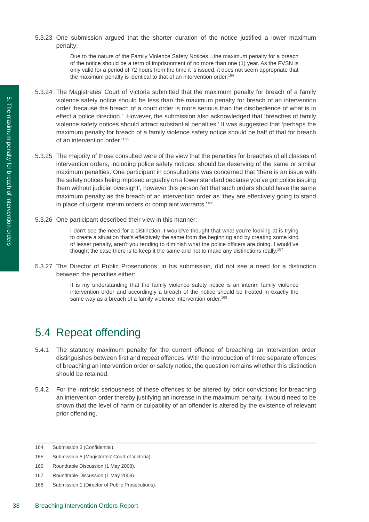5.3.23 One submission argued that the shorter duration of the notice justified a lower maximum penalty:

> Due to the nature of the Family Violence Safety Notices…the maximum penalty for a breach of the notice should be a term of imprisonment of no more than one (1) year. As the FVSN is only valid for a period of 72 hours from the time it is issued, it does not seem appropriate that the maximum penalty is identical to that of an intervention order.<sup>164</sup>

- 5.3.24 The Magistrates' Court of Victoria submitted that the maximum penalty for breach of a family violence safety notice should be less than the maximum penalty for breach of an intervention order 'because the breach of a court order is more serious than the disobedience of what is in effect a police direction.' However, the submission also acknowledged that 'breaches of family violence safety notices should attract substantial penalties.' It was suggested that 'perhaps the maximum penalty for breach of a family violence safety notice should be half of that for breach of an intervention order.'165
- 5.3.25 The majority of those consulted were of the view that the penalties for breaches of all classes of intervention orders, including police safety notices, should be deserving of the same or similar maximum penalties. One participant in consultations was concerned that 'there is an issue with the safety notices being imposed arguably on a lower standard because you've got police issuing them without judicial oversight', however this person felt that such orders should have the same maximum penalty as the breach of an intervention order as 'they are effectively going to stand in place of urgent interim orders or complaint warrants.'166
- 5.3.26 One participant described their view in this manner:

I don't see the need for a distinction. I would've thought that what you're looking at is trying to create a situation that's effectively the same from the beginning and by creating some kind of lesser penalty, aren't you tending to diminish what the police officers are doing. I would've thought the case there is to keep it the same and not to make any distinctions really.<sup>167</sup>

5.3.27 The Director of Public Prosecutions, in his submission, did not see a need for a distinction between the penalties either:

> It is my understanding that the family violence safety notice is an interim family violence intervention order and accordingly a breach of the notice should be treated in exactly the same way as a breach of a family violence intervention order.<sup>168</sup>

### 5.4 Repeat offending

- 5.4.1 The statutory maximum penalty for the current offence of breaching an intervention order distinguishes between first and repeat offences. With the introduction of three separate offences of breaching an intervention order or safety notice, the question remains whether this distinction should be retained.
- 5.4.2 For the intrinsic seriousness of these offences to be altered by prior convictions for breaching an intervention order thereby justifying an increase in the maximum penalty, it would need to be shown that the level of harm or culpability of an offender is altered by the existence of relevant prior offending.

166 Roundtable Discussion (1 May 2008).

<sup>164</sup> Submission 3 (Confidential).

<sup>165</sup> Submission 5 (Magistrates' Court of Victoria).

<sup>167</sup> Roundtable Discussion (1 May 2008).

<sup>168</sup> Submission 1 (Director of Public Prosecutions).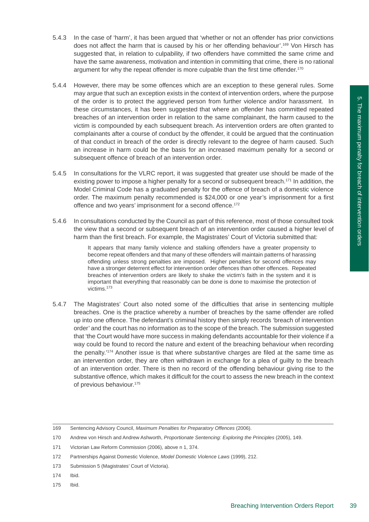- 5.4.3 In the case of 'harm', it has been argued that 'whether or not an offender has prior convictions does not affect the harm that is caused by his or her offending behaviour'.169 Von Hirsch has suggested that, in relation to culpability, if two offenders have committed the same crime and have the same awareness, motivation and intention in committing that crime, there is no rational argument for why the repeat offender is more culpable than the first time offender.<sup>170</sup>
- 5.4.4 However, there may be some offences which are an exception to these general rules. Some may argue that such an exception exists in the context of intervention orders, where the purpose of the order is to protect the aggrieved person from further violence and/or harassment. In these circumstances, it has been suggested that where an offender has committed repeated breaches of an intervention order in relation to the same complainant, the harm caused to the victim is compounded by each subsequent breach. As intervention orders are often granted to complainants after a course of conduct by the offender, it could be argued that the continuation of that conduct in breach of the order is directly relevant to the degree of harm caused. Such an increase in harm could be the basis for an increased maximum penalty for a second or subsequent offence of breach of an intervention order.
- 5.4.5 In consultations for the VLRC report, it was suggested that greater use should be made of the existing power to impose a higher penalty for a second or subsequent breach.<sup>171</sup> In addition, the Model Criminal Code has a graduated penalty for the offence of breach of a domestic violence order. The maximum penalty recommended is \$24,000 or one year's imprisonment for a first offence and two years' imprisonment for a second offence.<sup>172</sup>
- 5.4.6 In consultations conducted by the Council as part of this reference, most of those consulted took the view that a second or subsequent breach of an intervention order caused a higher level of harm than the first breach. For example, the Magistrates' Court of Victoria submitted that:

It appears that many family violence and stalking offenders have a greater propensity to become repeat offenders and that many of these offenders will maintain patterns of harassing offending unless strong penalties are imposed. Higher penalties for second offences may have a stronger deterrent effect for intervention order offences than other offences. Repeated breaches of intervention orders are likely to shake the victim's faith in the system and it is important that everything that reasonably can be done is done to maximise the protection of victims.173

5.4.7 The Magistrates' Court also noted some of the difficulties that arise in sentencing multiple breaches. One is the practice whereby a number of breaches by the same offender are rolled up into one offence. The defendant's criminal history then simply records 'breach of intervention order' and the court has no information as to the scope of the breach. The submission suggested that 'the Court would have more success in making defendants accountable for their violence if a way could be found to record the nature and extent of the breaching behaviour when recording the penalty.<sup> $174$ </sup> Another issue is that where substantive charges are filed at the same time as an intervention order, they are often withdrawn in exchange for a plea of guilty to the breach of an intervention order. There is then no record of the offending behaviour giving rise to the substantive offence, which makes it difficult for the court to assess the new breach in the context of previous behaviour.175

- 174 Ibid.
- 175 Ibid.

<sup>169</sup> Sentencing Advisory Council, *Maximum Penalties for Preparatory Offences* (2006).

<sup>170</sup> Andrew von Hirsch and Andrew Ashworth, *Proportionate Sentencing: Exploring the Principles* (2005), 149.

<sup>171</sup> Victorian Law Reform Commission (2006), above n 1, 374.

<sup>172</sup> Partnerships Against Domestic Violence, *Model Domestic Violence Laws* (1999), 212.

<sup>173</sup> Submission 5 (Magistrates' Court of Victoria).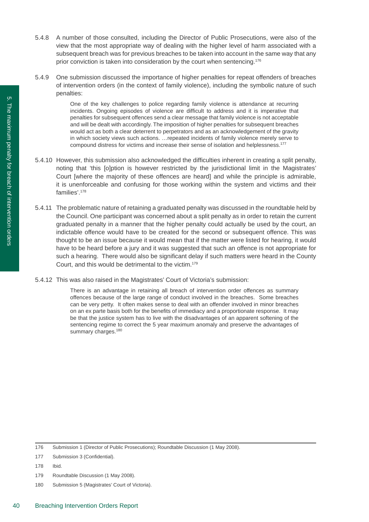- 5.4.8 A number of those consulted, including the Director of Public Prosecutions, were also of the view that the most appropriate way of dealing with the higher level of harm associated with a subsequent breach was for previous breaches to be taken into account in the same way that any prior conviction is taken into consideration by the court when sentencing.176
- 5.4.9 One submission discussed the importance of higher penalties for repeat offenders of breaches of intervention orders (in the context of family violence), including the symbolic nature of such penalties:

One of the key challenges to police regarding family violence is attendance at recurring incidents. Ongoing episodes of violence are difficult to address and it is imperative that penalties for subsequent offences send a clear message that family violence is not acceptable and will be dealt with accordingly. The imposition of higher penalties for subsequent breaches would act as both a clear deterrent to perpetrators and as an acknowledgement of the gravity in which society views such actions. …repeated incidents of family violence merely serve to compound distress for victims and increase their sense of isolation and helplessness.177

- 5.4.10 However, this submission also acknowledged the difficulties inherent in creating a split penalty. noting that 'this [o]ption is however restricted by the jurisdictional limit in the Magistrates' Court [where the majority of these offences are heard] and while the principle is admirable, it is unenforceable and confusing for those working within the system and victims and their families'.178
- 5.4.11 The problematic nature of retaining a graduated penalty was discussed in the roundtable held by the Council. One participant was concerned about a split penalty as in order to retain the current graduated penalty in a manner that the higher penalty could actually be used by the court, an indictable offence would have to be created for the second or subsequent offence. This was thought to be an issue because it would mean that if the matter were listed for hearing, it would have to be heard before a jury and it was suggested that such an offence is not appropriate for such a hearing. There would also be significant delay if such matters were heard in the County Court, and this would be detrimental to the victim.179
- 5.4.12 This was also raised in the Magistrates' Court of Victoria's submission:

There is an advantage in retaining all breach of intervention order offences as summary offences because of the large range of conduct involved in the breaches. Some breaches can be very petty. It often makes sense to deal with an offender involved in minor breaches on an ex parte basis both for the benefits of immediacy and a proportionate response. It may be that the justice system has to live with the disadvantages of an apparent softening of the sentencing regime to correct the 5 year maximum anomaly and preserve the advantages of summary charges.<sup>180</sup>

<sup>176</sup> Submission 1 (Director of Public Prosecutions); Roundtable Discussion (1 May 2008).

<sup>177</sup> Submission 3 (Confidential).

<sup>178</sup> Ibid.

<sup>179</sup> Roundtable Discussion (1 May 2008).

<sup>180</sup> Submission 5 (Magistrates' Court of Victoria).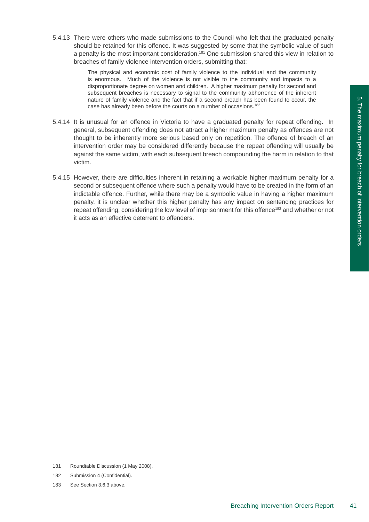5.4.13 There were others who made submissions to the Council who felt that the graduated penalty should be retained for this offence. It was suggested by some that the symbolic value of such a penalty is the most important consideration.181 One submission shared this view in relation to breaches of family violence intervention orders, submitting that:

> The physical and economic cost of family violence to the individual and the community is enormous. Much of the violence is not visible to the community and impacts to a disproportionate degree on women and children. A higher maximum penalty for second and subsequent breaches is necessary to signal to the community abhorrence of the inherent nature of family violence and the fact that if a second breach has been found to occur, the case has already been before the courts on a number of occasions.<sup>182</sup>

- 5.4.14 It is unusual for an offence in Victoria to have a graduated penalty for repeat offending. In general, subsequent offending does not attract a higher maximum penalty as offences are not thought to be inherently more serious based only on repetition. The offence of breach of an intervention order may be considered differently because the repeat offending will usually be against the same victim, with each subsequent breach compounding the harm in relation to that victim.
- 5.4.15 However, there are difficulties inherent in retaining a workable higher maximum penalty for a second or subsequent offence where such a penalty would have to be created in the form of an indictable offence. Further, while there may be a symbolic value in having a higher maximum penalty, it is unclear whether this higher penalty has any impact on sentencing practices for repeat offending, considering the low level of imprisonment for this offence<sup>183</sup> and whether or not it acts as an effective deterrent to offenders.

<sup>181</sup> Roundtable Discussion (1 May 2008).

<sup>182</sup> Submission 4 (Confidential).

<sup>183</sup> See Section 3.6.3 above.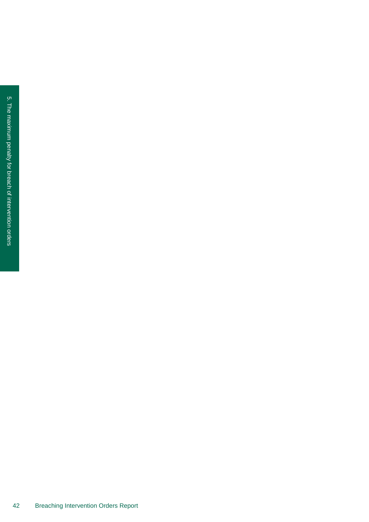42 Breaching Intervention Orders Report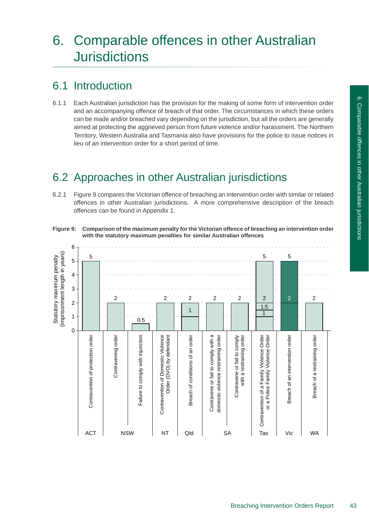### 6.1 Introduction

6.1.1 Each Australian jurisdiction has the provision for the making of some form of intervention order and an accompanying offence of breach of that order. The circumstances in which these orders can be made and/or breached vary depending on the jurisdiction, but all the orders are generally aimed at protecting the aggrieved person from future violence and/or harassment. The Northern Territory, Western Australia and Tasmania also have provisions for the police to issue notices in lieu of an intervention order for a short period of time.

### 6.2 Approaches in other Australian jurisdictions

6.2.1 Figure 9 compares the Victorian offence of breaching an intervention order with similar or related offences in other Australian jurisdictions. A more comprehensive description of the breach offences can be found in Appendix 1.



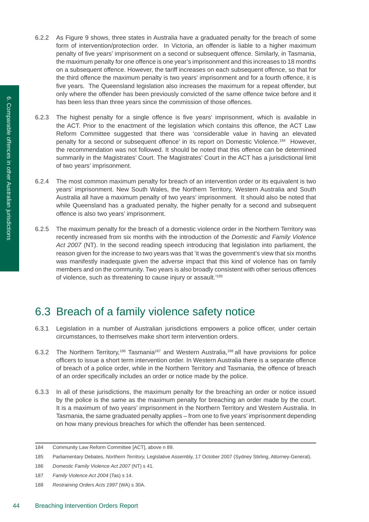- 6.2.2 As Figure 9 shows, three states in Australia have a graduated penalty for the breach of some form of intervention/protection order. In Victoria, an offender is liable to a higher maximum penalty of five years' imprisonment on a second or subsequent offence. Similarly, in Tasmania, the maximum penalty for one offence is one year's imprisonment and this increases to 18 months on a subsequent offence. However, the tariff increases on each subsequent offence, so that for the third offence the maximum penalty is two years' imprisonment and for a fourth offence, it is five years. The Queensland legislation also increases the maximum for a repeat offender, but only where the offender has been previously convicted of the same offence twice before and it has been less than three years since the commission of those offences.
- 6.2.3 The highest penalty for a single offence is five years' imprisonment, which is available in the ACT. Prior to the enactment of the legislation which contains this offence, the ACT Law Reform Committee suggested that there was 'considerable value in having an elevated penalty for a second or subsequent offence' in its report on Domestic Violence.<sup>184</sup> However, the recommendation was not followed. It should be noted that this offence can be determined summarily in the Magistrates' Court. The Magistrates' Court in the ACT has a jurisdictional limit of two years' imprisonment.
- 6.2.4 The most common maximum penalty for breach of an intervention order or its equivalent is two years' imprisonment. New South Wales, the Northern Territory, Western Australia and South Australia all have a maximum penalty of two years' imprisonment. It should also be noted that while Queensland has a graduated penalty, the higher penalty for a second and subsequent offence is also two years' imprisonment.
- 6.2.5 The maximum penalty for the breach of a domestic violence order in the Northern Territory was recently increased from six months with the introduction of the *Domestic and Family Violence Act 2007* (NT). In the second reading speech introducing that legislation into parliament, the reason given for the increase to two years was that 'it was the government's view that six months was manifestly inadequate given the adverse impact that this kind of violence has on family members and on the community. Two years is also broadly consistent with other serious offences of violence, such as threatening to cause injury or assault.'185

### 6.3 Breach of a family violence safety notice

- 6.3.1 Legislation in a number of Australian jurisdictions empowers a police officer, under certain circumstances, to themselves make short term intervention orders.
- 6.3.2 The Northern Territory,186 Tasmania187 and Western Australia,188 all have provisions for police officers to issue a short term intervention order. In Western Australia there is a separate offence of breach of a police order, while in the Northern Territory and Tasmania, the offence of breach of an order specifically includes an order or notice made by the police.
- 6.3.3 In all of these jurisdictions, the maximum penalty for the breaching an order or notice issued by the police is the same as the maximum penalty for breaching an order made by the court. It is a maximum of two years' imprisonment in the Northern Territory and Western Australia. In Tasmania, the same graduated penalty applies – from one to five years' imprisonment depending on how many previous breaches for which the offender has been sentenced.

188 *Restraining Orders Acts 1997* (WA) s 30A.

<sup>184</sup> Community Law Reform Committee [ACT], above n 89.

<sup>185</sup> Parliamentary Debates, *Northern Territory,* Legislative Assembly, 17 October 2007 (Sydney Stirling, Attorney-General).

<sup>186</sup> *Domestic Family Violence Act 2007* (NT) s 41.

<sup>187</sup> *Family Violence Act 2004* (Tas) s 14.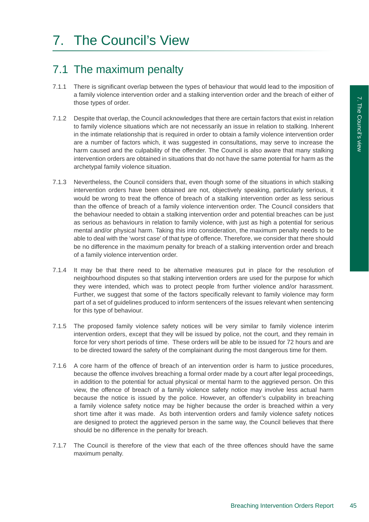7. The Council's View

### 7.1 The maximum penalty

- 7.1.1 There is significant overlap between the types of behaviour that would lead to the imposition of a family violence intervention order and a stalking intervention order and the breach of either of those types of order.
- 7.1.2 Despite that overlap, the Council acknowledges that there are certain factors that exist in relation to family violence situations which are not necessarily an issue in relation to stalking. Inherent in the intimate relationship that is required in order to obtain a family violence intervention order are a number of factors which, it was suggested in consultations, may serve to increase the harm caused and the culpability of the offender. The Council is also aware that many stalking intervention orders are obtained in situations that do not have the same potential for harm as the archetypal family violence situation.
- 7.1.3 Nevertheless, the Council considers that, even though some of the situations in which stalking intervention orders have been obtained are not, objectively speaking, particularly serious, it would be wrong to treat the offence of breach of a stalking intervention order as less serious than the offence of breach of a family violence intervention order. The Council considers that the behaviour needed to obtain a stalking intervention order and potential breaches can be just as serious as behaviours in relation to family violence, with just as high a potential for serious mental and/or physical harm. Taking this into consideration, the maximum penalty needs to be able to deal with the 'worst case' of that type of offence. Therefore, we consider that there should be no difference in the maximum penalty for breach of a stalking intervention order and breach of a family violence intervention order.
- 7.1.4 It may be that there need to be alternative measures put in place for the resolution of neighbourhood disputes so that stalking intervention orders are used for the purpose for which they were intended, which was to protect people from further violence and/or harassment. Further, we suggest that some of the factors specifically relevant to family violence may form part of a set of guidelines produced to inform sentencers of the issues relevant when sentencing for this type of behaviour.
- 7.1.5 The proposed family violence safety notices will be very similar to family violence interim intervention orders, except that they will be issued by police, not the court, and they remain in force for very short periods of time. These orders will be able to be issued for 72 hours and are to be directed toward the safety of the complainant during the most dangerous time for them.
- 7.1.6 A core harm of the offence of breach of an intervention order is harm to justice procedures, because the offence involves breaching a formal order made by a court after legal proceedings, in addition to the potential for actual physical or mental harm to the aggrieved person. On this view, the offence of breach of a family violence safety notice may involve less actual harm because the notice is issued by the police. However, an offender's culpability in breaching a family violence safety notice may be higher because the order is breached within a very short time after it was made. As both intervention orders and family violence safety notices are designed to protect the aggrieved person in the same way, the Council believes that there should be no difference in the penalty for breach.
- 7.1.7 The Council is therefore of the view that each of the three offences should have the same maximum penalty.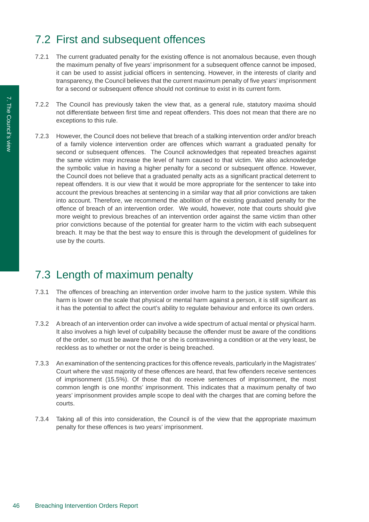### 7.2 First and subsequent offences

- 7.2.1 The current graduated penalty for the existing offence is not anomalous because, even though the maximum penalty of five years' imprisonment for a subsequent offence cannot be imposed, it can be used to assist judicial officers in sentencing. However, in the interests of clarity and transparency, the Council believes that the current maximum penalty of five years' imprisonment for a second or subsequent offence should not continue to exist in its current form.
- 7.2.2 The Council has previously taken the view that, as a general rule, statutory maxima should not differentiate between first time and repeat offenders. This does not mean that there are no exceptions to this rule.
- 7.2.3 However, the Council does not believe that breach of a stalking intervention order and/or breach of a family violence intervention order are offences which warrant a graduated penalty for second or subsequent offences. The Council acknowledges that repeated breaches against the same victim may increase the level of harm caused to that victim. We also acknowledge the symbolic value in having a higher penalty for a second or subsequent offence. However, the Council does not believe that a graduated penalty acts as a significant practical deterrent to repeat offenders. It is our view that it would be more appropriate for the sentencer to take into account the previous breaches at sentencing in a similar way that all prior convictions are taken into account. Therefore, we recommend the abolition of the existing graduated penalty for the offence of breach of an intervention order. We would, however, note that courts should give more weight to previous breaches of an intervention order against the same victim than other prior convictions because of the potential for greater harm to the victim with each subsequent breach. It may be that the best way to ensure this is through the development of guidelines for use by the courts.

### 7.3 Length of maximum penalty

- 7.3.1 The offences of breaching an intervention order involve harm to the justice system. While this harm is lower on the scale that physical or mental harm against a person, it is still significant as it has the potential to affect the court's ability to regulate behaviour and enforce its own orders.
- 7.3.2 A breach of an intervention order can involve a wide spectrum of actual mental or physical harm. It also involves a high level of culpability because the offender must be aware of the conditions of the order, so must be aware that he or she is contravening a condition or at the very least, be reckless as to whether or not the order is being breached.
- 7.3.3 An examination of the sentencing practices for this offence reveals, particularly in the Magistrates' Court where the vast majority of these offences are heard, that few offenders receive sentences of imprisonment (15.5%). Of those that do receive sentences of imprisonment, the most common length is one months' imprisonment. This indicates that a maximum penalty of two years' imprisonment provides ample scope to deal with the charges that are coming before the courts.
- 7.3.4 Taking all of this into consideration, the Council is of the view that the appropriate maximum penalty for these offences is two years' imprisonment.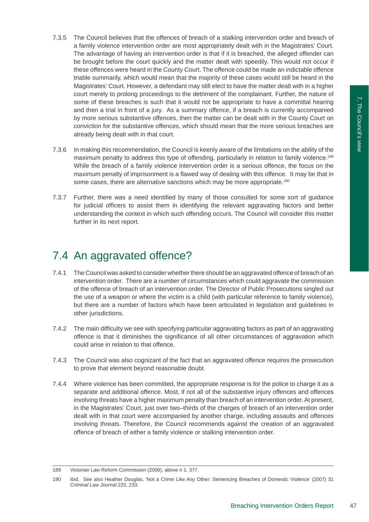- 7.3.5 The Council believes that the offences of breach of a stalking intervention order and breach of a family violence intervention order are most appropriately dealt with in the Magistrates' Court. The advantage of having an intervention order is that if it is breached, the alleged offender can be brought before the court quickly and the matter dealt with speedily. This would not occur if these offences were heard in the County Court. The offence could be made an indictable offence triable summarily, which would mean that the majority of these cases would still be heard in the Magistrates' Court. However, a defendant may still elect to have the matter dealt with in a higher court merely to prolong proceedings to the detriment of the complainant. Further, the nature of some of these breaches is such that it would not be appropriate to have a committal hearing and then a trial in front of a jury. As a summary offence, if a breach is currently accompanied by more serious substantive offences, then the matter can be dealt with in the County Court on conviction for the substantive offences, which should mean that the more serious breaches are already being dealt with in that court.
- 7.3.6 In making this recommendation, the Council is keenly aware of the limitations on the ability of the maximum penalty to address this type of offending, particularly in relation to family violence.189 While the breach of a family violence intervention order is a serious offence, the focus on the maximum penalty of imprisonment is a flawed way of dealing with this offence. It may be that in some cases, there are alternative sanctions which may be more appropriate.<sup>190</sup>
- 7.3.7 Further, there was a need identified by many of those consulted for some sort of guidance for judicial officers to assist them in identifying the relevant aggravating factors and better understanding the context in which such offending occurs. The Council will consider this matter further in its next report.

## 7.4 An aggravated offence?

- 7.4.1 The Council was asked to consider whether there should be an aggravated offence of breach of an intervention order. There are a number of circumstances which could aggravate the commission of the offence of breach of an intervention order. The Director of Public Prosecutions singled out the use of a weapon or where the victim is a child (with particular reference to family violence), but there are a number of factors which have been articulated in legislation and guidelines in other jurisdictions.
- 7.4.2 The main difficulty we see with specifying particular aggravating factors as part of an aggravating offence is that it diminishes the significance of all other circumstances of aggravation which could arise in relation to that offence.
- 7.4.3 The Council was also cognizant of the fact that an aggravated offence requires the prosecution to prove that element beyond reasonable doubt.
- 7.4.4 Where violence has been committed, the appropriate response is for the police to charge it as a separate and additional offence. Most, if not all of the substantive injury offences and offences involving threats have a higher maximum penalty than breach of an intervention order. At present, in the Magistrates' Court, just over two-thirds of the charges of breach of an intervention order dealt with in that court were accompanied by another charge, including assaults and offences involving threats. Therefore, the Council recommends against the creation of an aggravated offence of breach of either a family violence or stalking intervention order.

<sup>189</sup> Victorian Law Reform Commission (2006), above n 1, 377.

<sup>190</sup> Ibid. See also Heather Douglas, 'Not a Crime Like Any Other: Sentencing Breaches of Domestic Violence' (2007) 31 *Criminal Law Journal* 220, 233.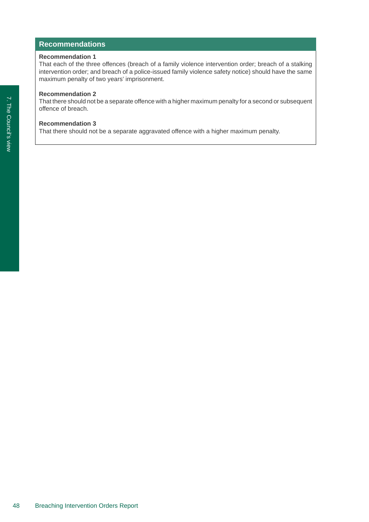#### **Recommendations**

#### **Recommendation 1**

That each of the three offences (breach of a family violence intervention order; breach of a stalking intervention order; and breach of a police-issued family violence safety notice) should have the same maximum penalty of two years' imprisonment.

#### **Recommendation 2**

That there should not be a separate offence with a higher maximum penalty for a second or subsequent offence of breach.

#### **Recommendation 3**

That there should not be a separate aggravated offence with a higher maximum penalty.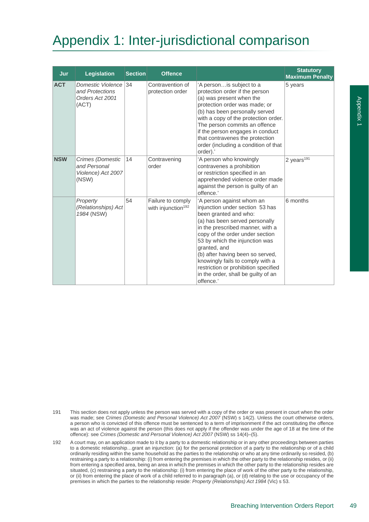## Appendix 1: Inter-jurisdictional comparison

| Jur        | <b>Legislation</b>                                                      | <b>Section</b> | <b>Offence</b>                                      |                                                                                                                                                                                                                                                                                                                                                                                                                      | <b>Statutory</b><br><b>Maximum Penalty</b> |
|------------|-------------------------------------------------------------------------|----------------|-----------------------------------------------------|----------------------------------------------------------------------------------------------------------------------------------------------------------------------------------------------------------------------------------------------------------------------------------------------------------------------------------------------------------------------------------------------------------------------|--------------------------------------------|
| <b>ACT</b> | <b>Domestic Violence</b><br>and Protections<br>Orders Act 2001<br>(ACT) | 34             | Contravention of<br>protection order                | 'A personis subject to a<br>protection order if the person<br>(a) was present when the<br>protection order was made; or<br>(b) has been personally served<br>with a copy of the protection order.<br>The person commits an offence<br>if the person engages in conduct<br>that contravenes the protection<br>order (including a condition of that<br>order).'                                                        | 5 years                                    |
| <b>NSW</b> | Crimes (Domestic<br>and Personal<br>Violence) Act 2007<br>(NSW)         | 14             | Contravening<br>order                               | 'A person who knowingly<br>contravenes a prohibition<br>or restriction specified in an<br>apprehended violence order made<br>against the person is guilty of an<br>offence.'                                                                                                                                                                                                                                         | 2 years <sup>191</sup>                     |
|            | Property<br>(Relationships) Act<br>1984 (NSW)                           | 54             | Failure to comply<br>with injunction <sup>192</sup> | 'A person against whom an<br>injunction under section 53 has<br>been granted and who:<br>(a) has been served personally<br>in the prescribed manner, with a<br>copy of the order under section<br>53 by which the injunction was<br>granted, and<br>(b) after having been so served,<br>knowingly fails to comply with a<br>restriction or prohibition specified<br>in the order, shall be guilty of an<br>offence.' | 6 months                                   |

- 191 This section does not apply unless the person was served with a copy of the order or was present in court when the order was made; see *Crimes (Domestic and Personal Violence) Act 2007* (NSW) s 14(2). Unless the court otherwise orders, a person who is convicted of this offence must be sentenced to a term of imprisonment if the act constituting the offence was an act of violence against the person (this does not apply if the offender was under the age of 18 at the time of the offence): see *Crimes (Domestic and Personal Violence) Act 2007* (NSW) ss 14(4)–(5).
- 192 A court may, on an application made to it by a party to a domestic relationship or in any other proceedings between parties to a domestic relationship…grant an injunction: (a) for the personal protection of a party to the relationship or of a child ordinarily residing within the same household as the parties to the relationship or who at any time ordinarily so resided, (b) restraining a party to a relationship: (i) from entering the premises in which the other party to the relationship resides, or (ii) from entering a specified area, being an area in which the premises in which the other party to the relationship resides are situated, (c) restraining a party to the relationship: (i) from entering the place of work of the other party to the relationship, or (ii) from entering the place of work of a child referred to in paragraph (a), or (d) relating to the use or occupancy of the premises in which the parties to the relationship reside: *Property (Relationships) Act 1984* (Vic) s 53.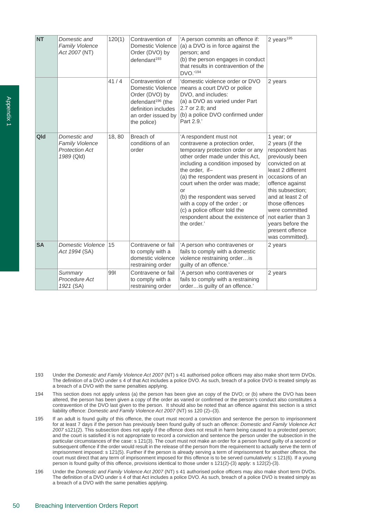| <b>NT</b> | Domestic and<br><b>Family Violence</b><br>Act 2007 (NT)                       | 120(1) | Contravention of<br>Domestic Violence<br>Order (DVO) by<br>defendant <sup>193</sup>                                                                  | 'A person commits an offence if:<br>(a) a DVO is in force against the<br>person; and<br>(b) the person engages in conduct<br>that results in contravention of the<br>DVO.'194                                                                                                                                                                                                                                              | 2 years <sup>195</sup>                                                                                                                                                                                                                                                                                        |
|-----------|-------------------------------------------------------------------------------|--------|------------------------------------------------------------------------------------------------------------------------------------------------------|----------------------------------------------------------------------------------------------------------------------------------------------------------------------------------------------------------------------------------------------------------------------------------------------------------------------------------------------------------------------------------------------------------------------------|---------------------------------------------------------------------------------------------------------------------------------------------------------------------------------------------------------------------------------------------------------------------------------------------------------------|
|           |                                                                               | 41/4   | Contravention of<br>Domestic Violence<br>Order (DVO) by<br>defendant <sup>196</sup> (the<br>definition includes<br>an order issued by<br>the police) | 'domestic violence order or DVO<br>means a court DVO or police<br>DVO, and includes:<br>(a) a DVO as varied under Part<br>2.7 or 2.8; and<br>(b) a police DVO confirmed under<br>Part 2.9.'                                                                                                                                                                                                                                | 2 years                                                                                                                                                                                                                                                                                                       |
| Qld       | Domestic and<br><b>Family Violence</b><br><b>Protection Act</b><br>1989 (Qld) | 18,80  | Breach of<br>conditions of an<br>order                                                                                                               | 'A respondent must not<br>contravene a protection order,<br>temporary protection order or any<br>other order made under this Act.<br>including a condition imposed by<br>the order, if-<br>(a) the respondent was present in<br>court when the order was made;<br>or<br>(b) the respondent was served<br>with a copy of the order; or<br>(c) a police officer told the<br>respondent about the existence of<br>the order.' | 1 year; or<br>2 years (if the<br>respondent has<br>previously been<br>convicted on at<br>least 2 different<br>occasions of an<br>offence against<br>this subsection;<br>and at least 2 of<br>those offences<br>were committed<br>not earlier than 3<br>years before the<br>present offence<br>was committed). |
| <b>SA</b> | Domestic Violence<br>Act 1994 (SA)                                            | 15     | Contravene or fail<br>to comply with a<br>domestic violence<br>restraining order                                                                     | 'A person who contravenes or<br>fails to comply with a domestic<br>violence restraining orderis<br>guilty of an offence.'                                                                                                                                                                                                                                                                                                  | 2 years                                                                                                                                                                                                                                                                                                       |
|           | Summary<br>Procedure Act<br>1921 (SA)                                         | 991    | Contravene or fail<br>to comply with a<br>restraining order                                                                                          | 'A person who contravenes or<br>fails to comply with a restraining<br>order is guilty of an offence.'                                                                                                                                                                                                                                                                                                                      | 2 years                                                                                                                                                                                                                                                                                                       |

- 193 Under the *Domestic and Family Violence Act 2007* (NT) s 41 authorised police officers may also make short term DVOs. The definition of a DVO under s 4 of that Act includes a police DVO. As such, breach of a police DVO is treated simply as a breach of a DVO with the same penalties applying.
- 194 This section does not apply unless (a) the person has been give an copy of the DVO; or (b) where the DVO has been altered, the person has been given a copy of the order as varied or confirmed or the person's conduct also constitutes a contravention of the DVO last given to the person. It should also be noted that an offence against this section is a strict liability offence: *Domestic and Family Violence Act 2007* (NT) ss 120 (2)–(3).
- 195 If an adult is found guilty of this offence, the court must record a conviction and sentence the person to imprisonment for at least 7 days if the person has previously been found guilty of such an offence: *Domestic and Family Violence Act 2007* s121(2). This subsection does not apply if the offence does not result in harm being caused to a protected person; and the court is satisfied it is not appropriate to record a conviction and sentence the person under the subsection in the particular circumstances of the case: s 121(3). The court must not make an order for a person found guilty of a second or subsequent offence if the order would result in the release of the person from the requirement to actually serve the term of imprisonment imposed: s 121(5). Further if the person is already serving a term of imprisonment for another offence, the court must direct that any term of imprisonment imposed for this offence is to be served cumulatively: s 121(6). If a young person is found guilty of this offence, provisions identical to those under s 121(2)-(3) apply: s 122(2)-(3).
- 196 Under the *Domestic and Family Violence Act 2007* (NT) s 41 authorised police officers may also make short term DVOs. The definition of a DVO under s 4 of that Act includes a police DVO. As such, breach of a police DVO is treated simply as a breach of a DVO with the same penalties applying.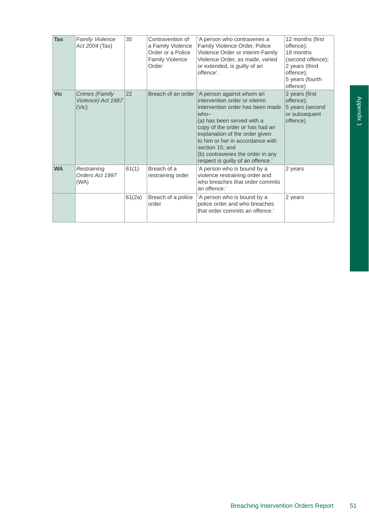| <b>Tas</b> | <b>Family Violence</b><br>Act 2004 (Tas)      | 35     | Contravention of<br>a Family Violence<br>Order or a Police<br><b>Family Violence</b><br>Order | 'A person who contravenes a<br>Family Violence Order, Police<br>Violence Order or interim Family<br>Violence Order, as made, varied<br>or extended, is guilty of an<br>offence'.                                                                                                                                                            | 12 months (first<br>offence);<br>18 months<br>(second offence);<br>2 years (third<br>offence);<br>5 years (fourth<br>offence) |
|------------|-----------------------------------------------|--------|-----------------------------------------------------------------------------------------------|---------------------------------------------------------------------------------------------------------------------------------------------------------------------------------------------------------------------------------------------------------------------------------------------------------------------------------------------|-------------------------------------------------------------------------------------------------------------------------------|
| <b>Vic</b> | Crimes (Family<br>Violence) Act 1987<br>(Vic) | 22     | Breach of an order                                                                            | 'A person against whom an<br>intervention order or interim<br>intervention order has been made<br>$who-$<br>(a) has been served with a<br>copy of the order or has had an<br>explanation of the order given<br>to him or her in accordance with<br>section 15; and<br>(b) contravenes the order in any<br>respect is guilty of an offence.' | 2 years (first<br>offence);<br>5 years (second<br>or subsequent<br>offence)                                                   |
| <b>WA</b>  | Restraining<br>Orders Act 1997<br>(WA)        | 61(1)  | Breach of a<br>restraining order                                                              | 'A person who is bound by a<br>violence restraining order and<br>who breaches that order commits<br>an offence.'                                                                                                                                                                                                                            | 2 years                                                                                                                       |
|            |                                               | 61(2a) | Breach of a police<br>order                                                                   | 'A person who is bound by a<br>police order and who breaches<br>that order commits an offence.'                                                                                                                                                                                                                                             | 2 years                                                                                                                       |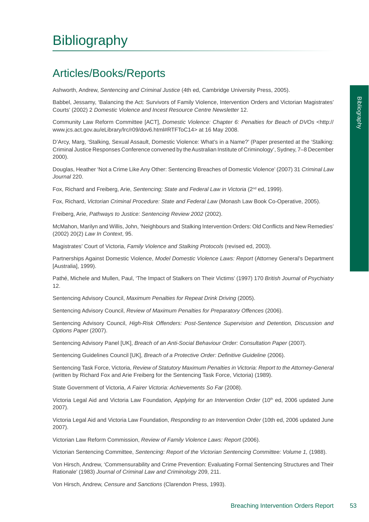## **Bibliography**

### Articles/Books/Reports

Ashworth, Andrew, *Sentencing and Criminal Justice* (4th ed, Cambridge University Press, 2005).

Babbel, Jessamy, 'Balancing the Act: Survivors of Family Violence, Intervention Orders and Victorian Magistrates' Courts' (2002) 2 *Domestic Violence and Incest Resource Centre Newsletter* 12.

Community Law Reform Committee [ACT], *Domestic Violence: Chapter 6: Penalties for Beach of DVOs* <http:// www.jcs.act.gov.au/eLibrary/lrc/r09/dov6.html#RTFToC14> at 16 May 2008.

D'Arcy, Marg, 'Stalking, Sexual Assault, Domestic Violence: What's in a Name?' (Paper presented at the 'Stalking: Criminal Justice Responses Conference convened by the Australian Institute of Criminology', Sydney, 7–8 December 2000).

Douglas, Heather 'Not a Crime Like Any Other: Sentencing Breaches of Domestic Violence' (2007) 31 *Criminal Law Journal* 220.

Fox, Richard and Freiberg, Arie, *Sentencing; State and Federal Law in Victoria* (2<sup>nd</sup> ed, 1999).

Fox, Richard, *Victorian Criminal Procedure: State and Federal Law* (Monash Law Book Co-Operative, 2005).

Freiberg, Arie, *Pathways to Justice: Sentencing Review 2002* (2002).

McMahon, Marilyn and Willis, John, 'Neighbours and Stalking Intervention Orders: Old Conflicts and New Remedies' (2002) 20(2) *Law In Context*, 95.

Magistrates' Court of Victoria, *Family Violence and Stalking Protocols* (revised ed, 2003).

Partnerships Against Domestic Violence, *Model Domestic Violence Laws: Report* (Attorney General's Department [Australia], 1999).

Pathé, Michele and Mullen, Paul, 'The Impact of Stalkers on Their Victims' (1997) 170 *British Journal of Psychiatry* 12.

Sentencing Advisory Council, *Maximum Penalties for Repeat Drink Driving* (2005).

Sentencing Advisory Council, *Review of Maximum Penalties for Preparatory Offences* (2006).

Sentencing Advisory Council, *High-Risk Offenders: Post-Sentence Supervision and Detention, Discussion and Options Paper* (2007).

Sentencing Advisory Panel [UK], *Breach of an Anti-Social Behaviour Order: Consultation Paper (2007)*.

Sentencing Guidelines Council [UK], *Breach of a Protective Order: Defi nitive Guideline* (2006).

Sentencing Task Force, Victoria, *Review of Statutory Maximum Penalties in Victoria: Report to the Attorney-General* (written by Richard Fox and Arie Freiberg for the Sentencing Task Force, Victoria) (1989).

State Government of Victoria, *A Fairer Victoria: Achievements So Far* (2008).

Victoria Legal Aid and Victoria Law Foundation, Applying for an Intervention Order (10<sup>th</sup> ed, 2006 updated June 2007).

Victoria Legal Aid and Victoria Law Foundation, *Responding to an Intervention Order* (10th ed, 2006 updated June 2007).

Victorian Law Reform Commission, *Review of Family Violence Laws: Report* (2006).

Victorian Sentencing Committee, *Sentencing: Report of the Victorian Sentencing Committee: Volume 1,* (1988).

Von Hirsch, Andrew, 'Commensurability and Crime Prevention: Evaluating Formal Sentencing Structures and Their Rationale' (1983) *Journal of Criminal Law and Criminology* 209, 211.

Von Hirsch, Andrew, *Censure and Sanctions* (Clarendon Press, 1993).